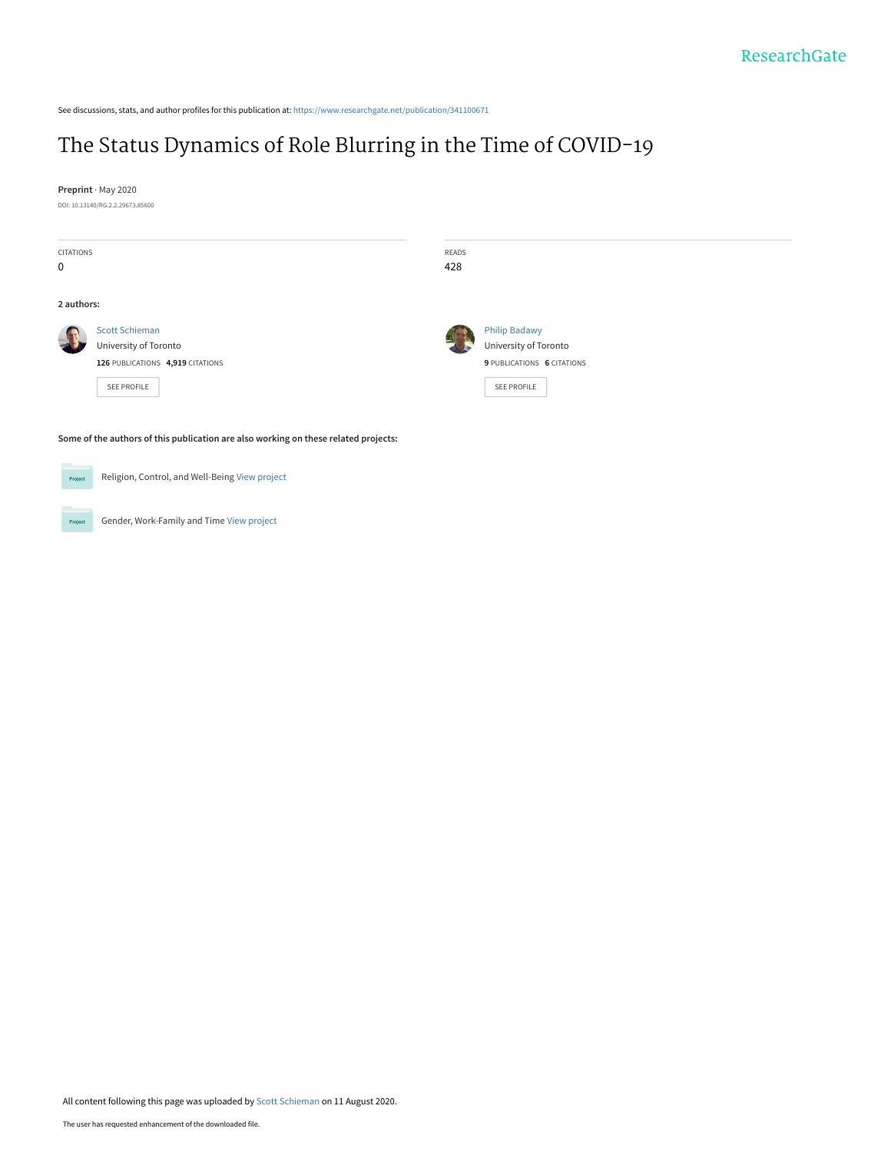See discussions, stats, and author profiles for this publication at: [https://www.researchgate.net/publication/341100671](https://www.researchgate.net/publication/341100671_The_Status_Dynamics_of_Role_Blurring_in_the_Time_of_COVID-19?enrichId=rgreq-f8bc30c2897ebce03e81e24885879ff3-XXX&enrichSource=Y292ZXJQYWdlOzM0MTEwMDY3MTtBUzo5MjMyOTgzMDA5Njg5NjBAMTU5NzE0Mjg3NzIyNQ%3D%3D&el=1_x_2&_esc=publicationCoverPdf)

# [The Status Dynamics of Role Blurring in the Time of COVID-19](https://www.researchgate.net/publication/341100671_The_Status_Dynamics_of_Role_Blurring_in_the_Time_of_COVID-19?enrichId=rgreq-f8bc30c2897ebce03e81e24885879ff3-XXX&enrichSource=Y292ZXJQYWdlOzM0MTEwMDY3MTtBUzo5MjMyOTgzMDA5Njg5NjBAMTU5NzE0Mjg3NzIyNQ%3D%3D&el=1_x_3&_esc=publicationCoverPdf)

**Preprint** · May 2020

Project

DOI: 10.13140/RG.2.2.29673.85600

| CITATIONS  |                                                                                     | READS |                            |
|------------|-------------------------------------------------------------------------------------|-------|----------------------------|
| 0          |                                                                                     | 428   |                            |
|            |                                                                                     |       |                            |
| 2 authors: |                                                                                     |       |                            |
|            |                                                                                     |       |                            |
|            | <b>Scott Schieman</b>                                                               |       | <b>Philip Badawy</b>       |
|            | University of Toronto                                                               |       | University of Toronto      |
|            | 126 PUBLICATIONS 4,919 CITATIONS                                                    |       | 9 PUBLICATIONS 6 CITATIONS |
|            | SEE PROFILE                                                                         |       | SEE PROFILE                |
|            |                                                                                     |       |                            |
|            |                                                                                     |       |                            |
|            | Some of the authors of this publication are also working on these related projects: |       |                            |
|            |                                                                                     |       |                            |
|            |                                                                                     |       |                            |
| Project    | Religion, Control, and Well-Being View project                                      |       |                            |

Gender, Work-Family and Time [View project](https://www.researchgate.net/project/Gender-Work-Family-and-Time?enrichId=rgreq-f8bc30c2897ebce03e81e24885879ff3-XXX&enrichSource=Y292ZXJQYWdlOzM0MTEwMDY3MTtBUzo5MjMyOTgzMDA5Njg5NjBAMTU5NzE0Mjg3NzIyNQ%3D%3D&el=1_x_9&_esc=publicationCoverPdf)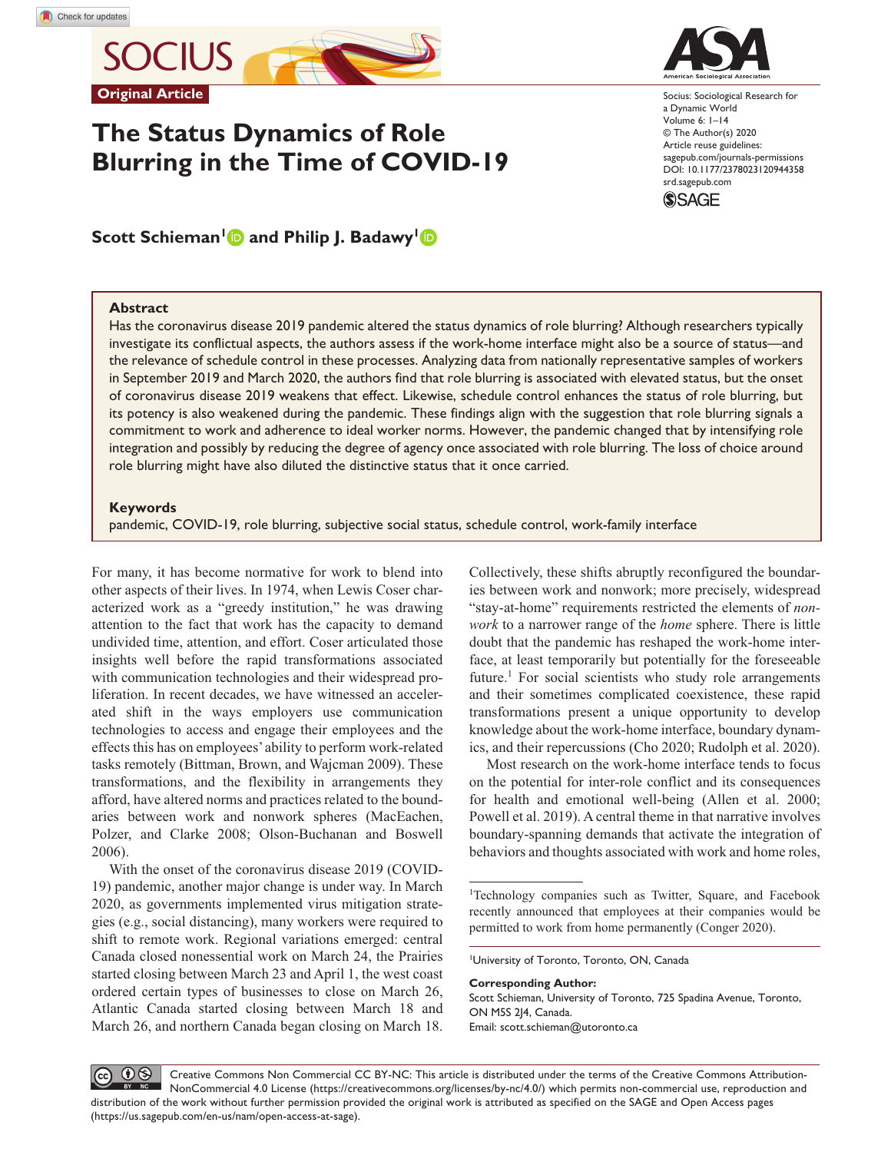**SOCIUS Original Article**

# **The Status Dynamics of Role Blurring in the Time of COVID-19**



#### **Abstract**

Has the coronavirus disease 2019 pandemic altered the status dynamics of role blurring? Although researchers typically investigate its conflictual aspects, the authors assess if the work-home interface might also be a source of status—and the relevance of schedule control in these processes. Analyzing data from nationally representative samples of workers in September 2019 and March 2020, the authors find that role blurring is associated with elevated status, but the onset of coronavirus disease 2019 weakens that effect. Likewise, schedule control enhances the status of role blurring, but its potency is also weakened during the pandemic. These findings align with the suggestion that role blurring signals a commitment to work and adherence to ideal worker norms. However, the pandemic changed that by intensifying role integration and possibly by reducing the degree of agency once associated with role blurring. The loss of choice around role blurring might have also diluted the distinctive status that it once carried.

#### **Keywords**

pandemic, COVID-19, role blurring, subjective social status, schedule control, work-family interface

For many, it has become normative for work to blend into other aspects of their lives. In 1974, when Lewis Coser characterized work as a "greedy institution," he was drawing attention to the fact that work has the capacity to demand undivided time, attention, and effort. Coser articulated those insights well before the rapid transformations associated with communication technologies and their widespread proliferation. In recent decades, we have witnessed an accelerated shift in the ways employers use communication technologies to access and engage their employees and the effects this has on employees' ability to perform work-related tasks remotely (Bittman, Brown, and Wajcman 2009). These transformations, and the flexibility in arrangements they afford, have altered norms and practices related to the boundaries between work and nonwork spheres (MacEachen, Polzer, and Clarke 2008; Olson-Buchanan and Boswell 2006).

With the onset of the coronavirus disease 2019 (COVID-19) pandemic, another major change is under way. In March 2020, as governments implemented virus mitigation strategies (e.g., social distancing), many workers were required to shift to remote work. Regional variations emerged: central Canada closed nonessential work on March 24, the Prairies started closing between March 23 and April 1, the west coast ordered certain types of businesses to close on March 26, Atlantic Canada started closing between March 18 and March 26, and northern Canada began closing on March 18. Collectively, these shifts abruptly reconfigured the boundaries between work and nonwork; more precisely, widespread "stay-at-home" requirements restricted the elements of *nonwork* to a narrower range of the *home* sphere. There is little doubt that the pandemic has reshaped the work-home interface, at least temporarily but potentially for the foreseeable future.<sup>1</sup> For social scientists who study role arrangements and their sometimes complicated coexistence, these rapid transformations present a unique opportunity to develop knowledge about the work-home interface, boundary dynamics, and their repercussions (Cho 2020; Rudolph et al. 2020).

Most research on the work-home interface tends to focus on the potential for inter-role conflict and its consequences for health and emotional well-being (Allen et al. 2000; Powell et al. 2019). A central theme in that narrative involves boundary-spanning demands that activate the integration of behaviors and thoughts associated with work and home roles,

1 University of Toronto, Toronto, ON, Canada

**Corresponding Author:** Scott Schieman, University of Toronto, 725 Spadina Avenue, Toronto, ON M5S 2J4, Canada. Email: [scott.schieman@utoronto.ca](mailto:scott.schieman@utoronto.ca)

Creative Commons Non Commercial CC BY-NC: This article is distributed under the terms of the Creative Commons Attribution-NonCommercial 4.0 License (https://creativecommons.org/licenses/by-nc/4.0/) which permits non-commercial use, reproduction and distribution of the work without further permission provided the original work is attributed as specified on the SAGE and Open Access pages (https://us.sagepub.com/en-us/nam/open-access-at-sage).



Socius: Sociological Research for a Dynamic World Volume 6: 1–14 © The Author(s) 2020 Article reuse guidelines: [sagepub.com/journals-permissions](https://us.sagepub.com/en-us/journals-permissions) https://doi.org/10.1177/2378023120944358 DOI: 10.1177/2378023120944358 [srd.sagepub.com](https://srd.sagepub.com) **SSAGE** 



<sup>&</sup>lt;sup>1</sup>Technology companies such as Twitter, Square, and Facebook recently announced that employees at their companies would be permitted to work from home permanently (Conger 2020).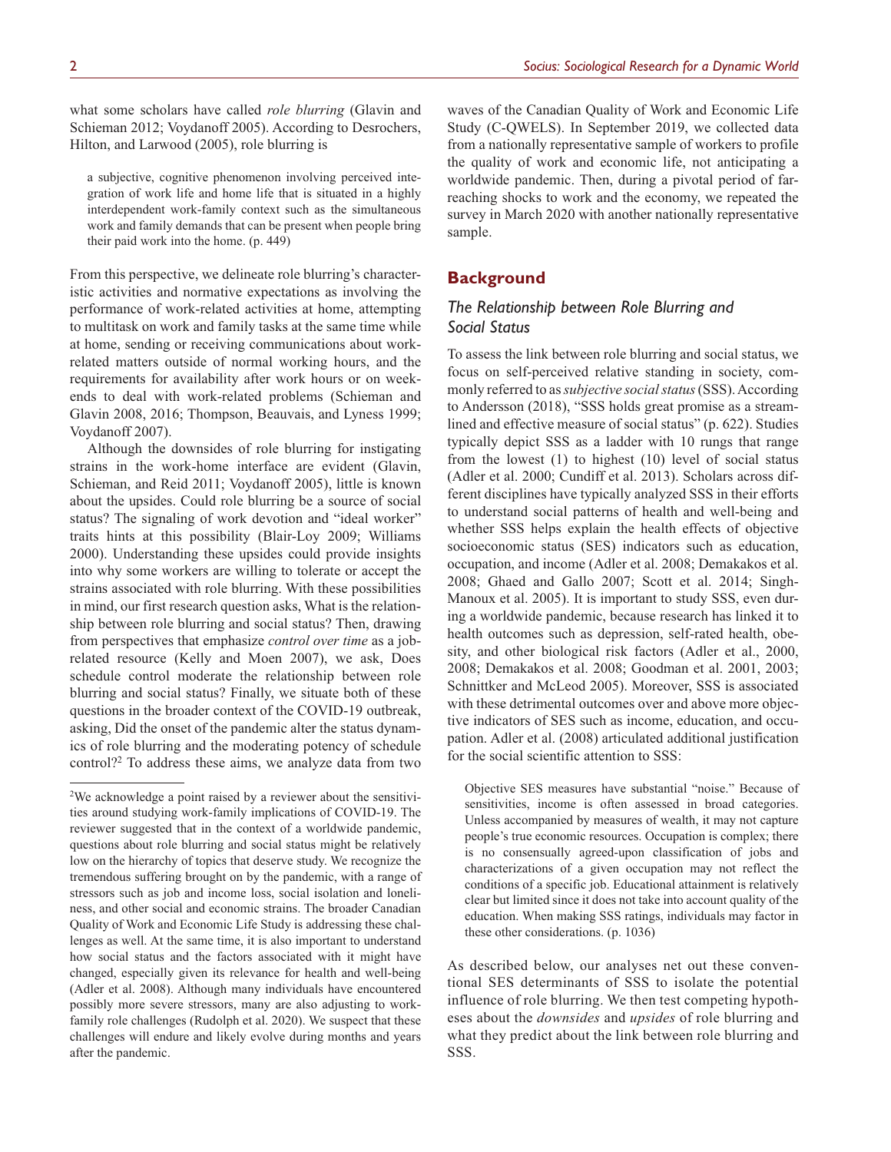what some scholars have called *role blurring* (Glavin and Schieman 2012; Voydanoff 2005). According to Desrochers, Hilton, and Larwood (2005), role blurring is

a subjective, cognitive phenomenon involving perceived integration of work life and home life that is situated in a highly interdependent work-family context such as the simultaneous work and family demands that can be present when people bring their paid work into the home. (p. 449)

From this perspective, we delineate role blurring's characteristic activities and normative expectations as involving the performance of work-related activities at home, attempting to multitask on work and family tasks at the same time while at home, sending or receiving communications about workrelated matters outside of normal working hours, and the requirements for availability after work hours or on weekends to deal with work-related problems (Schieman and Glavin 2008, 2016; Thompson, Beauvais, and Lyness 1999; Voydanoff 2007).

Although the downsides of role blurring for instigating strains in the work-home interface are evident (Glavin, Schieman, and Reid 2011; Voydanoff 2005), little is known about the upsides. Could role blurring be a source of social status? The signaling of work devotion and "ideal worker" traits hints at this possibility (Blair-Loy 2009; Williams 2000). Understanding these upsides could provide insights into why some workers are willing to tolerate or accept the strains associated with role blurring. With these possibilities in mind, our first research question asks, What is the relationship between role blurring and social status? Then, drawing from perspectives that emphasize *control over time* as a jobrelated resource (Kelly and Moen 2007), we ask, Does schedule control moderate the relationship between role blurring and social status? Finally, we situate both of these questions in the broader context of the COVID-19 outbreak, asking, Did the onset of the pandemic alter the status dynamics of role blurring and the moderating potency of schedule control?2 To address these aims, we analyze data from two waves of the Canadian Quality of Work and Economic Life Study (C-QWELS). In September 2019, we collected data from a nationally representative sample of workers to profile the quality of work and economic life, not anticipating a worldwide pandemic. Then, during a pivotal period of farreaching shocks to work and the economy, we repeated the survey in March 2020 with another nationally representative sample.

## **Background**

# *The Relationship between Role Blurring and Social Status*

To assess the link between role blurring and social status, we focus on self-perceived relative standing in society, commonly referred to as *subjective social status* (SSS). According to Andersson (2018), "SSS holds great promise as a streamlined and effective measure of social status" (p. 622). Studies typically depict SSS as a ladder with 10 rungs that range from the lowest (1) to highest (10) level of social status (Adler et al. 2000; Cundiff et al. 2013). Scholars across different disciplines have typically analyzed SSS in their efforts to understand social patterns of health and well-being and whether SSS helps explain the health effects of objective socioeconomic status (SES) indicators such as education, occupation, and income (Adler et al. 2008; Demakakos et al. 2008; Ghaed and Gallo 2007; Scott et al. 2014; Singh-Manoux et al. 2005). It is important to study SSS, even during a worldwide pandemic, because research has linked it to health outcomes such as depression, self-rated health, obesity, and other biological risk factors (Adler et al., 2000, 2008; Demakakos et al. 2008; Goodman et al. 2001, 2003; Schnittker and McLeod 2005). Moreover, SSS is associated with these detrimental outcomes over and above more objective indicators of SES such as income, education, and occupation. Adler et al. (2008) articulated additional justification for the social scientific attention to SSS:

Objective SES measures have substantial "noise." Because of sensitivities, income is often assessed in broad categories. Unless accompanied by measures of wealth, it may not capture people's true economic resources. Occupation is complex; there is no consensually agreed-upon classification of jobs and characterizations of a given occupation may not reflect the conditions of a specific job. Educational attainment is relatively clear but limited since it does not take into account quality of the education. When making SSS ratings, individuals may factor in these other considerations. (p. 1036)

As described below, our analyses net out these conventional SES determinants of SSS to isolate the potential influence of role blurring. We then test competing hypotheses about the *downsides* and *upsides* of role blurring and what they predict about the link between role blurring and SSS.

<sup>&</sup>lt;sup>2</sup>We acknowledge a point raised by a reviewer about the sensitivities around studying work-family implications of COVID-19. The reviewer suggested that in the context of a worldwide pandemic, questions about role blurring and social status might be relatively low on the hierarchy of topics that deserve study. We recognize the tremendous suffering brought on by the pandemic, with a range of stressors such as job and income loss, social isolation and loneliness, and other social and economic strains. The broader Canadian Quality of Work and Economic Life Study is addressing these challenges as well. At the same time, it is also important to understand how social status and the factors associated with it might have changed, especially given its relevance for health and well-being (Adler et al. 2008). Although many individuals have encountered possibly more severe stressors, many are also adjusting to workfamily role challenges (Rudolph et al. 2020). We suspect that these challenges will endure and likely evolve during months and years after the pandemic.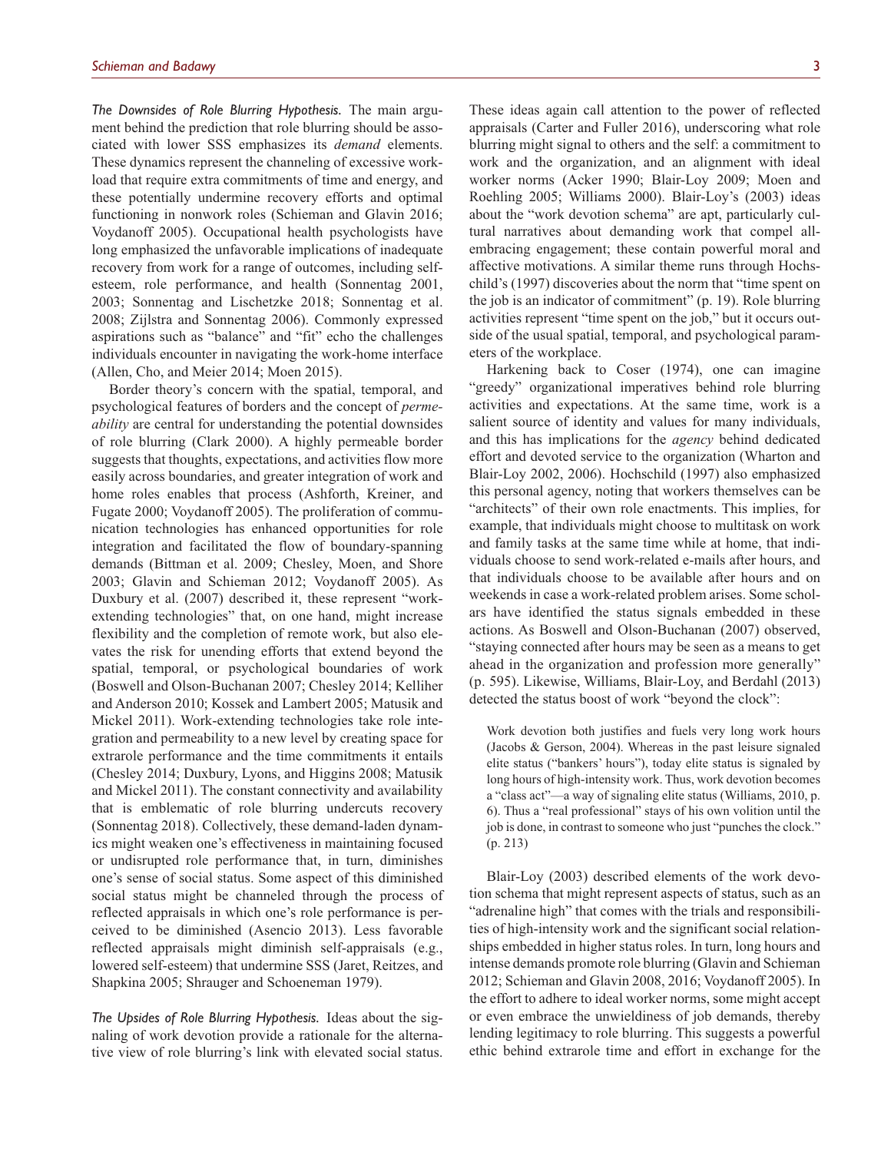*The Downsides of Role Blurring Hypothesis.* The main argument behind the prediction that role blurring should be associated with lower SSS emphasizes its *demand* elements. These dynamics represent the channeling of excessive workload that require extra commitments of time and energy, and these potentially undermine recovery efforts and optimal functioning in nonwork roles (Schieman and Glavin 2016; Voydanoff 2005). Occupational health psychologists have long emphasized the unfavorable implications of inadequate recovery from work for a range of outcomes, including selfesteem, role performance, and health (Sonnentag 2001, 2003; Sonnentag and Lischetzke 2018; Sonnentag et al. 2008; Zijlstra and Sonnentag 2006). Commonly expressed aspirations such as "balance" and "fit" echo the challenges individuals encounter in navigating the work-home interface (Allen, Cho, and Meier 2014; Moen 2015).

Border theory's concern with the spatial, temporal, and psychological features of borders and the concept of *permeability* are central for understanding the potential downsides of role blurring (Clark 2000). A highly permeable border suggests that thoughts, expectations, and activities flow more easily across boundaries, and greater integration of work and home roles enables that process (Ashforth, Kreiner, and Fugate 2000; Voydanoff 2005). The proliferation of communication technologies has enhanced opportunities for role integration and facilitated the flow of boundary-spanning demands (Bittman et al. 2009; Chesley, Moen, and Shore 2003; Glavin and Schieman 2012; Voydanoff 2005). As Duxbury et al. (2007) described it, these represent "workextending technologies" that, on one hand, might increase flexibility and the completion of remote work, but also elevates the risk for unending efforts that extend beyond the spatial, temporal, or psychological boundaries of work (Boswell and Olson-Buchanan 2007; Chesley 2014; Kelliher and Anderson 2010; Kossek and Lambert 2005; Matusik and Mickel 2011). Work-extending technologies take role integration and permeability to a new level by creating space for extrarole performance and the time commitments it entails (Chesley 2014; Duxbury, Lyons, and Higgins 2008; Matusik and Mickel 2011). The constant connectivity and availability that is emblematic of role blurring undercuts recovery (Sonnentag 2018). Collectively, these demand-laden dynamics might weaken one's effectiveness in maintaining focused or undisrupted role performance that, in turn, diminishes one's sense of social status. Some aspect of this diminished social status might be channeled through the process of reflected appraisals in which one's role performance is perceived to be diminished (Asencio 2013). Less favorable reflected appraisals might diminish self-appraisals (e.g., lowered self-esteem) that undermine SSS (Jaret, Reitzes, and Shapkina 2005; Shrauger and Schoeneman 1979).

*The Upsides of Role Blurring Hypothesis.* Ideas about the signaling of work devotion provide a rationale for the alternative view of role blurring's link with elevated social status.

These ideas again call attention to the power of reflected appraisals (Carter and Fuller 2016), underscoring what role blurring might signal to others and the self: a commitment to work and the organization, and an alignment with ideal worker norms (Acker 1990; Blair-Loy 2009; Moen and Roehling 2005; Williams 2000). Blair-Loy's (2003) ideas about the "work devotion schema" are apt, particularly cultural narratives about demanding work that compel allembracing engagement; these contain powerful moral and affective motivations. A similar theme runs through Hochschild's (1997) discoveries about the norm that "time spent on the job is an indicator of commitment" (p. 19). Role blurring activities represent "time spent on the job," but it occurs outside of the usual spatial, temporal, and psychological parameters of the workplace.

Harkening back to Coser (1974), one can imagine "greedy" organizational imperatives behind role blurring activities and expectations. At the same time, work is a salient source of identity and values for many individuals, and this has implications for the *agency* behind dedicated effort and devoted service to the organization (Wharton and Blair-Loy 2002, 2006). Hochschild (1997) also emphasized this personal agency, noting that workers themselves can be "architects" of their own role enactments. This implies, for example, that individuals might choose to multitask on work and family tasks at the same time while at home, that individuals choose to send work-related e-mails after hours, and that individuals choose to be available after hours and on weekends in case a work-related problem arises. Some scholars have identified the status signals embedded in these actions. As Boswell and Olson-Buchanan (2007) observed, "staying connected after hours may be seen as a means to get ahead in the organization and profession more generally" (p. 595). Likewise, Williams, Blair-Loy, and Berdahl (2013) detected the status boost of work "beyond the clock":

Work devotion both justifies and fuels very long work hours (Jacobs & Gerson, 2004). Whereas in the past leisure signaled elite status ("bankers' hours"), today elite status is signaled by long hours of high-intensity work. Thus, work devotion becomes a "class act"—a way of signaling elite status (Williams, 2010, p. 6). Thus a "real professional" stays of his own volition until the job is done, in contrast to someone who just "punches the clock." (p. 213)

Blair-Loy (2003) described elements of the work devotion schema that might represent aspects of status, such as an "adrenaline high" that comes with the trials and responsibilities of high-intensity work and the significant social relationships embedded in higher status roles. In turn, long hours and intense demands promote role blurring (Glavin and Schieman 2012; Schieman and Glavin 2008, 2016; Voydanoff 2005). In the effort to adhere to ideal worker norms, some might accept or even embrace the unwieldiness of job demands, thereby lending legitimacy to role blurring. This suggests a powerful ethic behind extrarole time and effort in exchange for the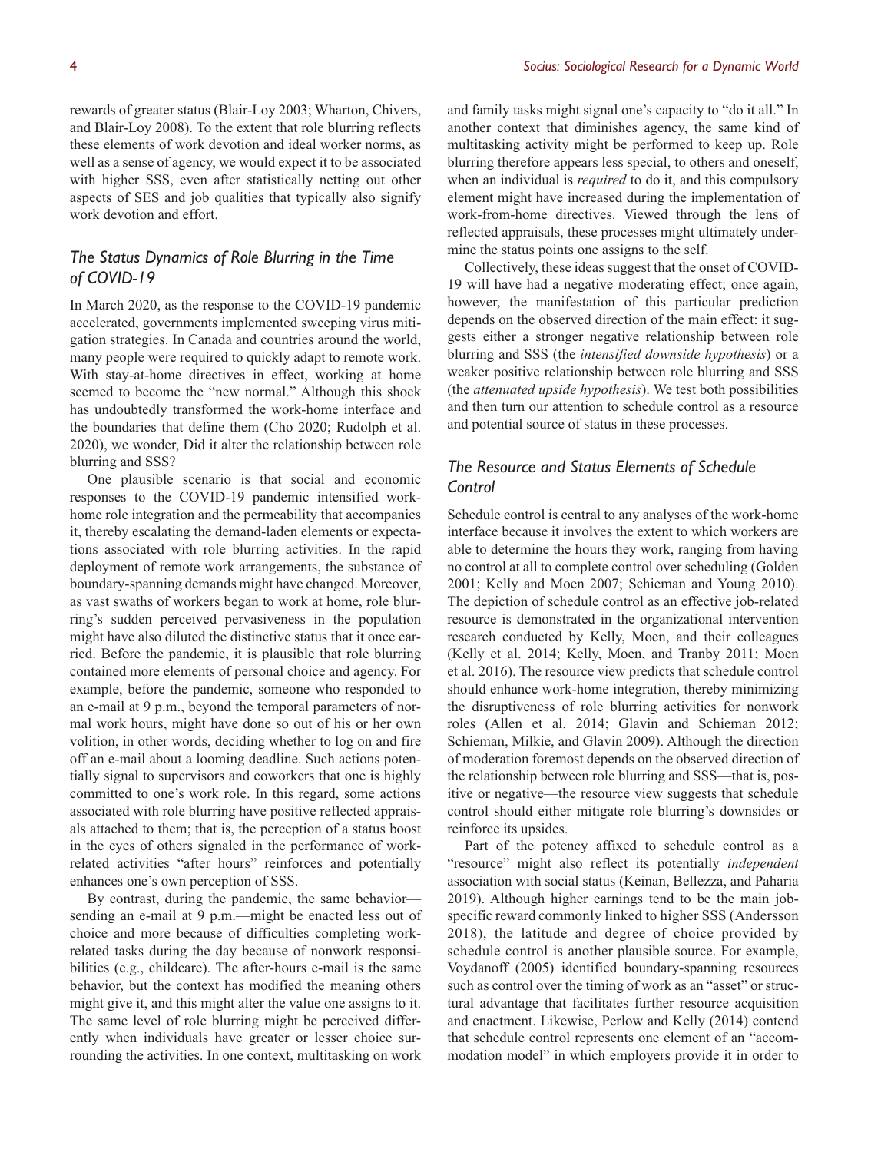rewards of greater status (Blair-Loy 2003; Wharton, Chivers, and Blair-Loy 2008). To the extent that role blurring reflects these elements of work devotion and ideal worker norms, as well as a sense of agency, we would expect it to be associated with higher SSS, even after statistically netting out other aspects of SES and job qualities that typically also signify work devotion and effort.

# *The Status Dynamics of Role Blurring in the Time of COVID-19*

In March 2020, as the response to the COVID-19 pandemic accelerated, governments implemented sweeping virus mitigation strategies. In Canada and countries around the world, many people were required to quickly adapt to remote work. With stay-at-home directives in effect, working at home seemed to become the "new normal." Although this shock has undoubtedly transformed the work-home interface and the boundaries that define them (Cho 2020; Rudolph et al. 2020), we wonder, Did it alter the relationship between role blurring and SSS?

One plausible scenario is that social and economic responses to the COVID-19 pandemic intensified workhome role integration and the permeability that accompanies it, thereby escalating the demand-laden elements or expectations associated with role blurring activities. In the rapid deployment of remote work arrangements, the substance of boundary-spanning demands might have changed. Moreover, as vast swaths of workers began to work at home, role blurring's sudden perceived pervasiveness in the population might have also diluted the distinctive status that it once carried. Before the pandemic, it is plausible that role blurring contained more elements of personal choice and agency. For example, before the pandemic, someone who responded to an e-mail at 9 p.m., beyond the temporal parameters of normal work hours, might have done so out of his or her own volition, in other words, deciding whether to log on and fire off an e-mail about a looming deadline. Such actions potentially signal to supervisors and coworkers that one is highly committed to one's work role. In this regard, some actions associated with role blurring have positive reflected appraisals attached to them; that is, the perception of a status boost in the eyes of others signaled in the performance of workrelated activities "after hours" reinforces and potentially enhances one's own perception of SSS.

By contrast, during the pandemic, the same behavior sending an e-mail at 9 p.m.—might be enacted less out of choice and more because of difficulties completing workrelated tasks during the day because of nonwork responsibilities (e.g., childcare). The after-hours e-mail is the same behavior, but the context has modified the meaning others might give it, and this might alter the value one assigns to it. The same level of role blurring might be perceived differently when individuals have greater or lesser choice surrounding the activities. In one context, multitasking on work

and family tasks might signal one's capacity to "do it all." In another context that diminishes agency, the same kind of multitasking activity might be performed to keep up. Role blurring therefore appears less special, to others and oneself, when an individual is *required* to do it, and this compulsory element might have increased during the implementation of work-from-home directives. Viewed through the lens of reflected appraisals, these processes might ultimately undermine the status points one assigns to the self.

Collectively, these ideas suggest that the onset of COVID-19 will have had a negative moderating effect; once again, however, the manifestation of this particular prediction depends on the observed direction of the main effect: it suggests either a stronger negative relationship between role blurring and SSS (the *intensified downside hypothesis*) or a weaker positive relationship between role blurring and SSS (the *attenuated upside hypothesis*). We test both possibilities and then turn our attention to schedule control as a resource and potential source of status in these processes.

# *The Resource and Status Elements of Schedule Control*

Schedule control is central to any analyses of the work-home interface because it involves the extent to which workers are able to determine the hours they work, ranging from having no control at all to complete control over scheduling (Golden 2001; Kelly and Moen 2007; Schieman and Young 2010). The depiction of schedule control as an effective job-related resource is demonstrated in the organizational intervention research conducted by Kelly, Moen, and their colleagues (Kelly et al. 2014; Kelly, Moen, and Tranby 2011; Moen et al. 2016). The resource view predicts that schedule control should enhance work-home integration, thereby minimizing the disruptiveness of role blurring activities for nonwork roles (Allen et al. 2014; Glavin and Schieman 2012; Schieman, Milkie, and Glavin 2009). Although the direction of moderation foremost depends on the observed direction of the relationship between role blurring and SSS—that is, positive or negative—the resource view suggests that schedule control should either mitigate role blurring's downsides or reinforce its upsides.

Part of the potency affixed to schedule control as a "resource" might also reflect its potentially *independent* association with social status (Keinan, Bellezza, and Paharia 2019). Although higher earnings tend to be the main jobspecific reward commonly linked to higher SSS (Andersson 2018), the latitude and degree of choice provided by schedule control is another plausible source. For example, Voydanoff (2005) identified boundary-spanning resources such as control over the timing of work as an "asset" or structural advantage that facilitates further resource acquisition and enactment. Likewise, Perlow and Kelly (2014) contend that schedule control represents one element of an "accommodation model" in which employers provide it in order to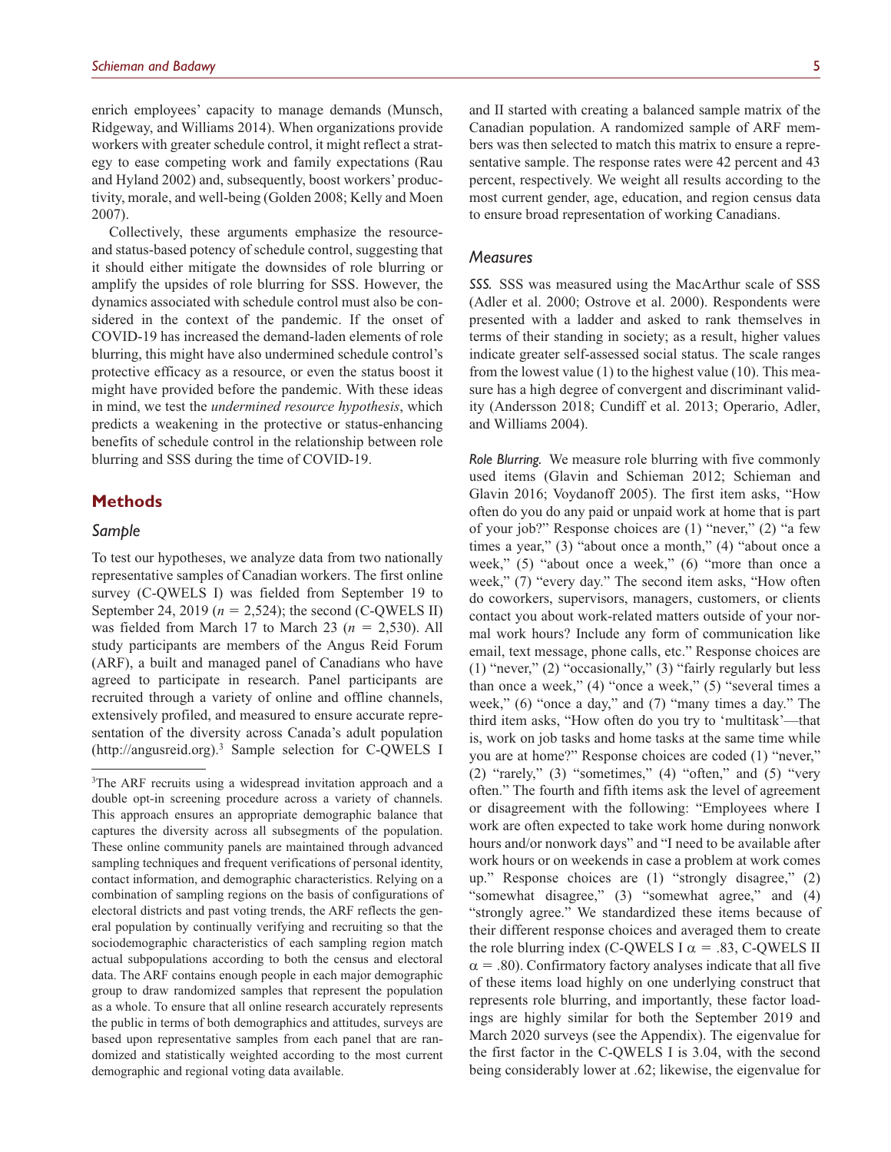enrich employees' capacity to manage demands (Munsch, Ridgeway, and Williams 2014). When organizations provide workers with greater schedule control, it might reflect a strategy to ease competing work and family expectations (Rau and Hyland 2002) and, subsequently, boost workers' productivity, morale, and well-being (Golden 2008; Kelly and Moen 2007).

Collectively, these arguments emphasize the resourceand status-based potency of schedule control, suggesting that it should either mitigate the downsides of role blurring or amplify the upsides of role blurring for SSS. However, the dynamics associated with schedule control must also be considered in the context of the pandemic. If the onset of COVID-19 has increased the demand-laden elements of role blurring, this might have also undermined schedule control's protective efficacy as a resource, or even the status boost it might have provided before the pandemic. With these ideas in mind, we test the *undermined resource hypothesis*, which predicts a weakening in the protective or status-enhancing benefits of schedule control in the relationship between role blurring and SSS during the time of COVID-19.

## **Methods**

### *Sample*

To test our hypotheses, we analyze data from two nationally representative samples of Canadian workers. The first online survey (C-QWELS I) was fielded from September 19 to September 24, 2019 ( $n = 2,524$ ); the second (C-QWELS II) was fielded from March 17 to March 23 (*n* = 2,530). All study participants are members of the Angus Reid Forum (ARF), a built and managed panel of Canadians who have agreed to participate in research. Panel participants are recruited through a variety of online and offline channels, extensively profiled, and measured to ensure accurate representation of the diversity across Canada's adult population [\(http://angusreid.org\)](http://angusreid.org).3 Sample selection for C-QWELS I

and II started with creating a balanced sample matrix of the Canadian population. A randomized sample of ARF members was then selected to match this matrix to ensure a representative sample. The response rates were 42 percent and 43 percent, respectively. We weight all results according to the most current gender, age, education, and region census data to ensure broad representation of working Canadians.

#### *Measures*

*SSS.* SSS was measured using the MacArthur scale of SSS (Adler et al. 2000; Ostrove et al. 2000). Respondents were presented with a ladder and asked to rank themselves in terms of their standing in society; as a result, higher values indicate greater self-assessed social status. The scale ranges from the lowest value (1) to the highest value (10). This measure has a high degree of convergent and discriminant validity (Andersson 2018; Cundiff et al. 2013; Operario, Adler, and Williams 2004).

*Role Blurring.* We measure role blurring with five commonly used items (Glavin and Schieman 2012; Schieman and Glavin 2016; Voydanoff 2005). The first item asks, "How often do you do any paid or unpaid work at home that is part of your job?" Response choices are (1) "never," (2) "a few times a year," (3) "about once a month," (4) "about once a week," (5) "about once a week," (6) "more than once a week," (7) "every day." The second item asks, "How often do coworkers, supervisors, managers, customers, or clients contact you about work-related matters outside of your normal work hours? Include any form of communication like email, text message, phone calls, etc." Response choices are (1) "never," (2) "occasionally," (3) "fairly regularly but less than once a week," (4) "once a week," (5) "several times a week," (6) "once a day," and (7) "many times a day." The third item asks, "How often do you try to 'multitask'—that is, work on job tasks and home tasks at the same time while you are at home?" Response choices are coded (1) "never," (2) "rarely," (3) "sometimes," (4) "often," and  $(5)$  "very often." The fourth and fifth items ask the level of agreement or disagreement with the following: "Employees where I work are often expected to take work home during nonwork hours and/or nonwork days" and "I need to be available after work hours or on weekends in case a problem at work comes up." Response choices are (1) "strongly disagree," (2) "somewhat disagree," (3) "somewhat agree," and (4) "strongly agree." We standardized these items because of their different response choices and averaged them to create the role blurring index (C-QWELS I  $\alpha$  = .83, C-QWELS II  $\alpha = .80$ ). Confirmatory factory analyses indicate that all five of these items load highly on one underlying construct that represents role blurring, and importantly, these factor loadings are highly similar for both the September 2019 and March 2020 surveys (see the Appendix). The eigenvalue for the first factor in the C-QWELS I is 3.04, with the second being considerably lower at .62; likewise, the eigenvalue for

<sup>&</sup>lt;sup>3</sup>The ARF recruits using a widespread invitation approach and a double opt-in screening procedure across a variety of channels. This approach ensures an appropriate demographic balance that captures the diversity across all subsegments of the population. These online community panels are maintained through advanced sampling techniques and frequent verifications of personal identity, contact information, and demographic characteristics. Relying on a combination of sampling regions on the basis of configurations of electoral districts and past voting trends, the ARF reflects the general population by continually verifying and recruiting so that the sociodemographic characteristics of each sampling region match actual subpopulations according to both the census and electoral data. The ARF contains enough people in each major demographic group to draw randomized samples that represent the population as a whole. To ensure that all online research accurately represents the public in terms of both demographics and attitudes, surveys are based upon representative samples from each panel that are randomized and statistically weighted according to the most current demographic and regional voting data available.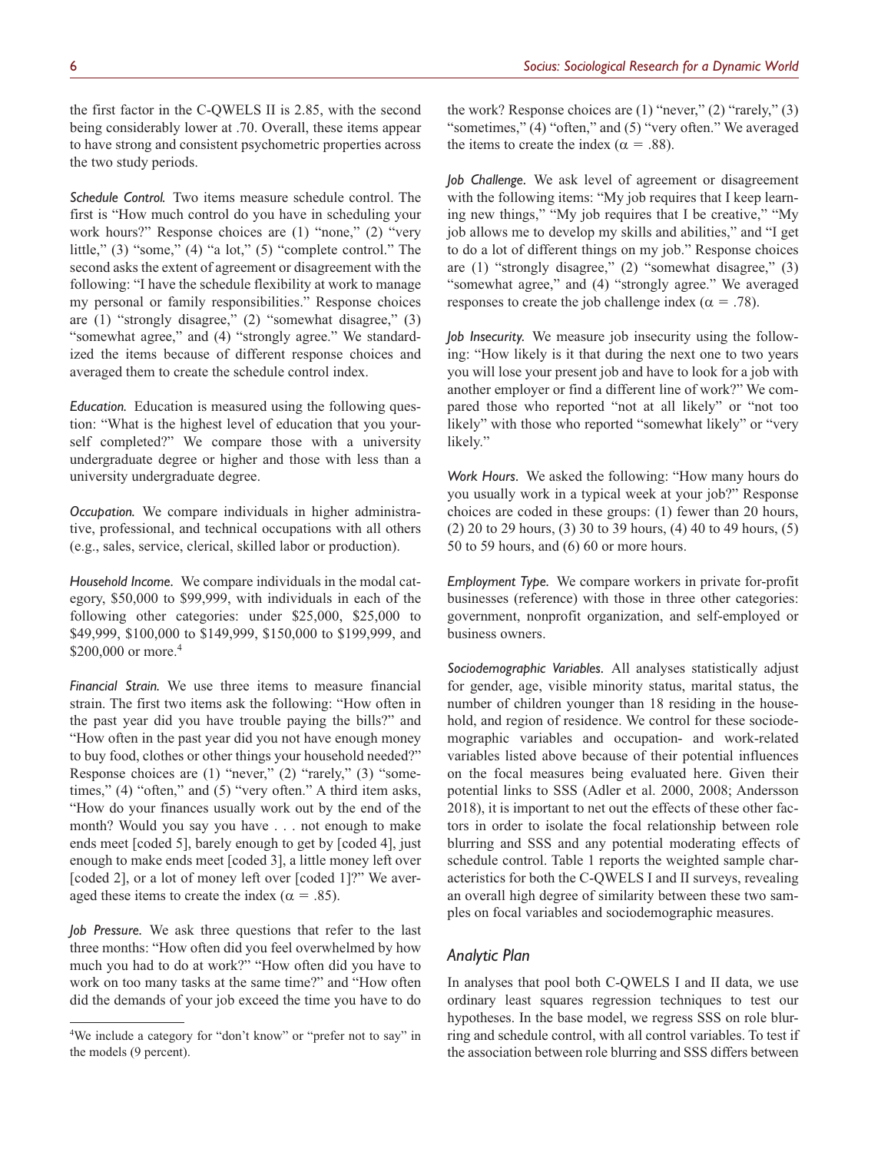the first factor in the C-QWELS II is 2.85, with the second being considerably lower at .70. Overall, these items appear to have strong and consistent psychometric properties across the two study periods.

*Schedule Control.* Two items measure schedule control. The first is "How much control do you have in scheduling your work hours?" Response choices are (1) "none," (2) "very little," (3) "some," (4) "a lot," (5) "complete control." The second asks the extent of agreement or disagreement with the following: "I have the schedule flexibility at work to manage my personal or family responsibilities." Response choices are (1) "strongly disagree," (2) "somewhat disagree," (3) "somewhat agree," and (4) "strongly agree." We standardized the items because of different response choices and averaged them to create the schedule control index.

*Education.* Education is measured using the following question: "What is the highest level of education that you yourself completed?" We compare those with a university undergraduate degree or higher and those with less than a university undergraduate degree.

*Occupation.* We compare individuals in higher administrative, professional, and technical occupations with all others (e.g., sales, service, clerical, skilled labor or production).

*Household Income.* We compare individuals in the modal category, \$50,000 to \$99,999, with individuals in each of the following other categories: under \$25,000, \$25,000 to \$49,999, \$100,000 to \$149,999, \$150,000 to \$199,999, and \$200,000 or more.<sup>4</sup>

*Financial Strain.* We use three items to measure financial strain. The first two items ask the following: "How often in the past year did you have trouble paying the bills?" and "How often in the past year did you not have enough money to buy food, clothes or other things your household needed?" Response choices are (1) "never," (2) "rarely," (3) "sometimes," (4) "often," and (5) "very often." A third item asks, "How do your finances usually work out by the end of the month? Would you say you have . . . not enough to make ends meet [coded 5], barely enough to get by [coded 4], just enough to make ends meet [coded 3], a little money left over [coded 2], or a lot of money left over [coded 1]?" We averaged these items to create the index ( $\alpha = .85$ ).

*Job Pressure.* We ask three questions that refer to the last three months: "How often did you feel overwhelmed by how much you had to do at work?" "How often did you have to work on too many tasks at the same time?" and "How often did the demands of your job exceed the time you have to do

the work? Response choices are (1) "never," (2) "rarely," (3) "sometimes," (4) "often," and (5) "very often." We averaged the items to create the index ( $\alpha = .88$ ).

*Job Challenge.* We ask level of agreement or disagreement with the following items: "My job requires that I keep learning new things," "My job requires that I be creative," "My job allows me to develop my skills and abilities," and "I get to do a lot of different things on my job." Response choices are (1) "strongly disagree," (2) "somewhat disagree," (3) "somewhat agree," and (4) "strongly agree." We averaged responses to create the job challenge index ( $\alpha = .78$ ).

*Job Insecurity.* We measure job insecurity using the following: "How likely is it that during the next one to two years you will lose your present job and have to look for a job with another employer or find a different line of work?" We compared those who reported "not at all likely" or "not too likely" with those who reported "somewhat likely" or "very likely."

*Work Hours.* We asked the following: "How many hours do you usually work in a typical week at your job?" Response choices are coded in these groups: (1) fewer than 20 hours, (2) 20 to 29 hours, (3) 30 to 39 hours, (4) 40 to 49 hours, (5) 50 to 59 hours, and (6) 60 or more hours.

*Employment Type.* We compare workers in private for-profit businesses (reference) with those in three other categories: government, nonprofit organization, and self-employed or business owners.

*Sociodemographic Variables.* All analyses statistically adjust for gender, age, visible minority status, marital status, the number of children younger than 18 residing in the household, and region of residence. We control for these sociodemographic variables and occupation- and work-related variables listed above because of their potential influences on the focal measures being evaluated here. Given their potential links to SSS (Adler et al. 2000, 2008; Andersson 2018), it is important to net out the effects of these other factors in order to isolate the focal relationship between role blurring and SSS and any potential moderating effects of schedule control. Table 1 reports the weighted sample characteristics for both the C-QWELS I and II surveys, revealing an overall high degree of similarity between these two samples on focal variables and sociodemographic measures.

#### *Analytic Plan*

In analyses that pool both C-QWELS I and II data, we use ordinary least squares regression techniques to test our hypotheses. In the base model, we regress SSS on role blurring and schedule control, with all control variables. To test if the association between role blurring and SSS differs between

<sup>4</sup> We include a category for "don't know" or "prefer not to say" in the models (9 percent).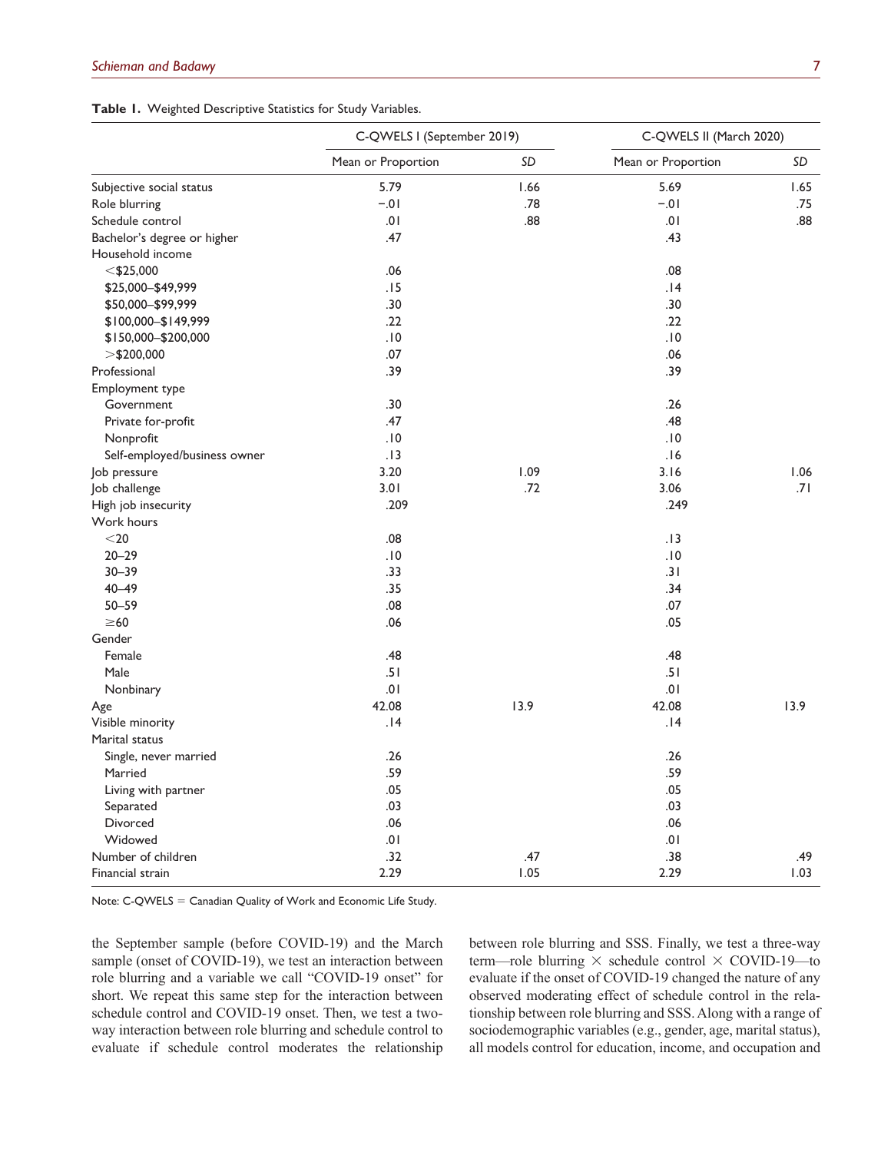|  |  | Table 1. Weighted Descriptive Statistics for Study Variables. |  |  |  |
|--|--|---------------------------------------------------------------|--|--|--|
|--|--|---------------------------------------------------------------|--|--|--|

|                              | C-QWELS I (September 2019) |      |                    | C-QWELS II (March 2020) |  |
|------------------------------|----------------------------|------|--------------------|-------------------------|--|
|                              | Mean or Proportion         | SD   | Mean or Proportion | SD                      |  |
| Subjective social status     | 5.79                       | 1.66 | 5.69               | 1.65                    |  |
| Role blurring                | $-0.01$                    | .78  | $-0.01$            | .75                     |  |
| Schedule control             | .01                        | .88  | .01                | .88                     |  |
| Bachelor's degree or higher  | .47                        |      | .43                |                         |  |
| Household income             |                            |      |                    |                         |  |
| $<$ \$25,000                 | .06                        |      | .08                |                         |  |
| \$25,000-\$49,999            | .15                        |      | .14                |                         |  |
| \$50,000-\$99,999            | .30                        |      | .30                |                         |  |
| \$100,000-\$149,999          | .22                        |      | .22                |                         |  |
| \$150,000-\$200,000          | .10                        |      | .10                |                         |  |
| $>\$200,000$                 | .07                        |      | .06                |                         |  |
| Professional                 | .39                        |      | .39                |                         |  |
| Employment type              |                            |      |                    |                         |  |
| Government                   | .30                        |      | .26                |                         |  |
| Private for-profit           | .47                        |      | .48                |                         |  |
| Nonprofit                    | .10                        |      | .10                |                         |  |
| Self-employed/business owner | .13                        |      | .16                |                         |  |
| Job pressure                 | 3.20                       | 1.09 | 3.16               | 1.06                    |  |
| Job challenge                | 3.01                       | .72  | 3.06               | .71                     |  |
| High job insecurity          | .209                       |      | .249               |                         |  |
| Work hours                   |                            |      |                    |                         |  |
| $<$ 20                       | .08                        |      | .13                |                         |  |
| $20 - 29$                    | .10                        |      | .10                |                         |  |
| $30 - 39$                    | .33                        |      | .31                |                         |  |
| $40 - 49$                    | .35                        |      | .34                |                         |  |
| $50 - 59$                    | .08                        |      | .07                |                         |  |
| $\geq 60$                    | .06                        |      | .05                |                         |  |
| Gender                       |                            |      |                    |                         |  |
| Female                       | .48                        |      | .48                |                         |  |
| Male                         | .51                        |      | .51                |                         |  |
| Nonbinary                    | .01                        |      | 10.                |                         |  |
| Age                          | 42.08                      | 13.9 | 42.08              | 13.9                    |  |
| Visible minority             | .14                        |      | .14                |                         |  |
| Marital status               |                            |      |                    |                         |  |
| Single, never married        | .26                        |      | .26                |                         |  |
| Married                      | 59                         |      | 59                 |                         |  |
| Living with partner          | .05                        |      | .05                |                         |  |
| Separated                    | .03                        |      | .03                |                         |  |
| Divorced                     | .06                        |      | .06                |                         |  |
| Widowed                      | $10.$                      |      | $10.$              |                         |  |
| Number of children           | .32                        | .47  | .38                | .49                     |  |
| Financial strain             | 2.29                       | 1.05 | 2.29               | 1.03                    |  |
|                              |                            |      |                    |                         |  |

Note: C-QWELS = Canadian Quality of Work and Economic Life Study.

the September sample (before COVID-19) and the March sample (onset of COVID-19), we test an interaction between role blurring and a variable we call "COVID-19 onset" for short. We repeat this same step for the interaction between schedule control and COVID-19 onset. Then, we test a twoway interaction between role blurring and schedule control to evaluate if schedule control moderates the relationship

between role blurring and SSS. Finally, we test a three-way term—role blurring  $\times$  schedule control  $\times$  COVID-19—to evaluate if the onset of COVID-19 changed the nature of any observed moderating effect of schedule control in the relationship between role blurring and SSS. Along with a range of sociodemographic variables (e.g., gender, age, marital status), all models control for education, income, and occupation and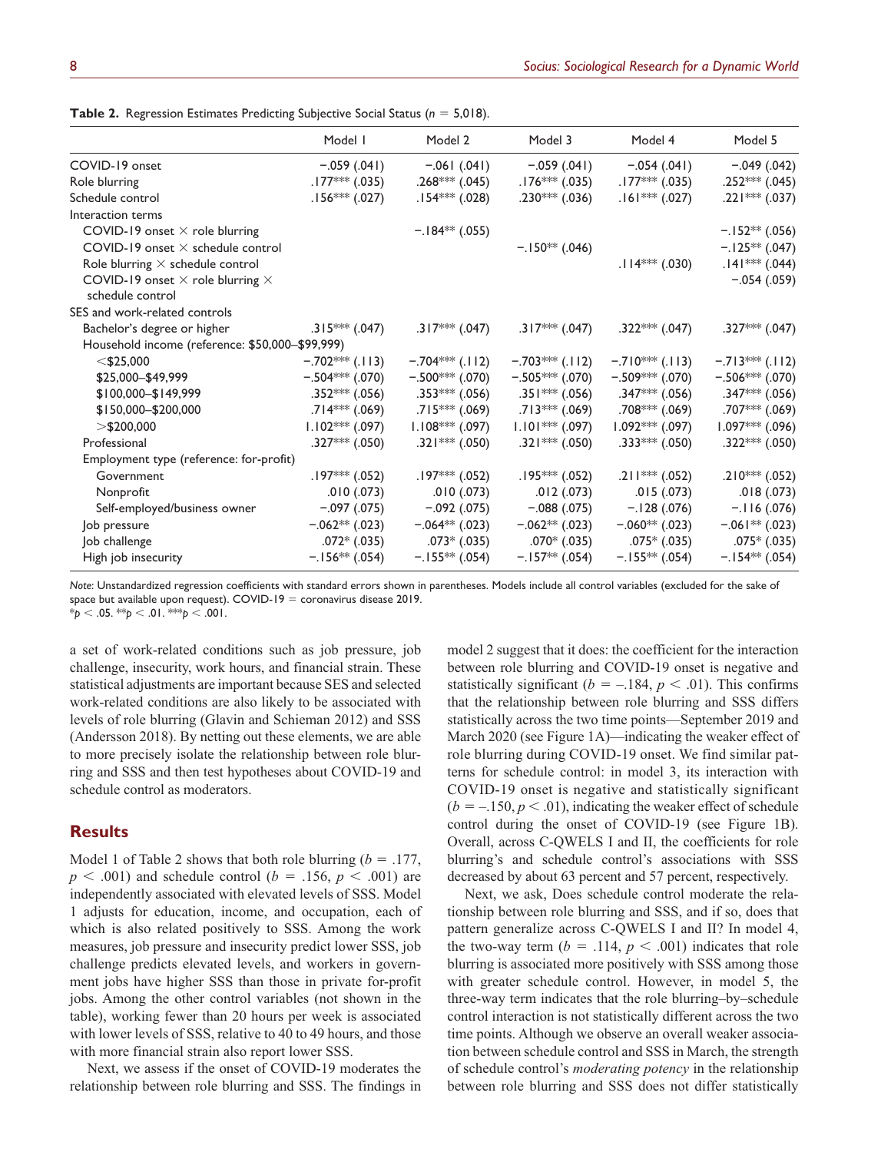|                                                 | Model I            | Model 2           | Model 3           | Model 4            | Model 5            |
|-------------------------------------------------|--------------------|-------------------|-------------------|--------------------|--------------------|
| COVID-19 onset                                  | $-.059(.041)$      | $-.061(.041)$     | $-.059(.041)$     | $-.054(.041)$      | $-.049(.042)$      |
| Role blurring                                   | $.177***$ (.035)   | $.268***(.045)$   | $.176*** (.035)$  | $.177*** (.035)$   | .252*** (.045)     |
| Schedule control                                | $.156*** (.027)$   | $.154*** (.028)$  | $.230***(.036)$   | $.161*** (.027)$   | .221*** (.037)     |
| Interaction terms                               |                    |                   |                   |                    |                    |
| COVID-19 onset $\times$ role blurring           |                    | $-.184**(.055)$   |                   |                    | $-.152**(.056)$    |
| COVID-19 onset $\times$ schedule control        |                    |                   | $-.150**(.046)$   |                    | $-.125**(.047)$    |
| Role blurring $\times$ schedule control         |                    |                   |                   | $.114*** (.030)$   | $.141***$ (.044)   |
| COVID-19 onset $\times$ role blurring $\times$  |                    |                   |                   |                    | $-.054(.059)$      |
| schedule control                                |                    |                   |                   |                    |                    |
| SES and work-related controls                   |                    |                   |                   |                    |                    |
| Bachelor's degree or higher                     | $.315***$ (.047)   | $.317***$ (.047)  | $.317***$ (.047)  | $.322***(.047)$    | .327*** $(.047)$   |
| Household income (reference: \$50,000-\$99,999) |                    |                   |                   |                    |                    |
| $<$ \$25,000                                    | $-.702*** (.113)$  | $-.704*** (.112)$ | $-.703*** (.112)$ | $-.710*** (.113)$  | $-.713*** (.112)$  |
| \$25,000-\$49,999                               | $-.504***(.070)$   | $-.500***(.070)$  | $-.505***(.070)$  | $-.509***(.070)$   | $-.506***$ (.070)  |
| \$100,000-\$149,999                             | $.352***$ (.056)   | $.353***$ (.056)  | $.351***$ (.056)  | $.347***$ $(.056)$ | $.347***$ $(.056)$ |
| \$150,000 - \$200,000                           | $.714***$ (.069)   | $.715***$ (.069)  | $.713***$ (.069)  | .708*** $(.069)$   | $.707***(.069)$    |
| $>$ \$200.000                                   | $1.102***$ (.097)  | $1.108***$ (.097) | $1.101***$ (.097) | $1.092***$ (.097)  | $1.097***$ (.096)  |
| Professional                                    | $.327***$ (.050)   | $.321*** (.050)$  | $.321*** (.050)$  | $.333***$ (.050)   | $.322***$ (.050)   |
| Employment type (reference: for-profit)         |                    |                   |                   |                    |                    |
| Government                                      | $.197***$ $(.052)$ | $.197*** (.052)$  | $.195*** (.052)$  | $.211***(.052)$    | .210*** (.052)     |
| Nonprofit                                       | .010(.073)         | .010(.073)        | .012(.073)        | .015(.073)         | .018(.073)         |
| Self-employed/business owner                    | $-.097(.075)$      | $-.092(.075)$     | $-.088(.075)$     | $-.128(.076)$      | $-116(0.076)$      |
| Job pressure                                    | $-.062**(.023)$    | $-.064**(.023)$   | $-.062**(.023)$   | $-.060**(.023)$    | $-.061**(.023)$    |
| Job challenge                                   | $.072*(.035)$      | $.073*(.035)$     | $.070*(.035)$     | $.075*$ $(.035)$   | $.075*$ $(.035)$   |
| High job insecurity                             | $-.156**(.054)$    | $-.155***(.054)$  | $-.157**(.054)$   | $-.155***(.054)$   | $-.154**(.054)$    |

**Table 2.** Regression Estimates Predicting Subjective Social Status (*n* = 5,018).

*Note*: Unstandardized regression coefficients with standard errors shown in parentheses. Models include all control variables (excluded for the sake of space but available upon request). COVID-19 = coronavirus disease 2019.

 $*_{p}$  < .05.  $*_{p}$  < .01.  $*_{p}$  < .001.

a set of work-related conditions such as job pressure, job challenge, insecurity, work hours, and financial strain. These statistical adjustments are important because SES and selected work-related conditions are also likely to be associated with levels of role blurring (Glavin and Schieman 2012) and SSS (Andersson 2018). By netting out these elements, we are able to more precisely isolate the relationship between role blurring and SSS and then test hypotheses about COVID-19 and schedule control as moderators.

## **Results**

Model 1 of Table 2 shows that both role blurring  $(b = .177,$  $p < .001$  and schedule control ( $b = .156$ ,  $p < .001$ ) are independently associated with elevated levels of SSS. Model 1 adjusts for education, income, and occupation, each of which is also related positively to SSS. Among the work measures, job pressure and insecurity predict lower SSS, job challenge predicts elevated levels, and workers in government jobs have higher SSS than those in private for-profit jobs. Among the other control variables (not shown in the table), working fewer than 20 hours per week is associated with lower levels of SSS, relative to 40 to 49 hours, and those with more financial strain also report lower SSS.

Next, we assess if the onset of COVID-19 moderates the relationship between role blurring and SSS. The findings in model 2 suggest that it does: the coefficient for the interaction between role blurring and COVID-19 onset is negative and statistically significant ( $b = -.184$ ,  $p < .01$ ). This confirms that the relationship between role blurring and SSS differs statistically across the two time points—September 2019 and March 2020 (see Figure 1A)—indicating the weaker effect of role blurring during COVID-19 onset. We find similar patterns for schedule control: in model 3, its interaction with COVID-19 onset is negative and statistically significant  $(b = -150, p < .01)$ , indicating the weaker effect of schedule control during the onset of COVID-19 (see Figure 1B). Overall, across C-QWELS I and II, the coefficients for role blurring's and schedule control's associations with SSS decreased by about 63 percent and 57 percent, respectively.

Next, we ask, Does schedule control moderate the relationship between role blurring and SSS, and if so, does that pattern generalize across C-QWELS I and II? In model 4, the two-way term ( $b = .114$ ,  $p < .001$ ) indicates that role blurring is associated more positively with SSS among those with greater schedule control. However, in model 5, the three-way term indicates that the role blurring–by–schedule control interaction is not statistically different across the two time points. Although we observe an overall weaker association between schedule control and SSS in March, the strength of schedule control's *moderating potency* in the relationship between role blurring and SSS does not differ statistically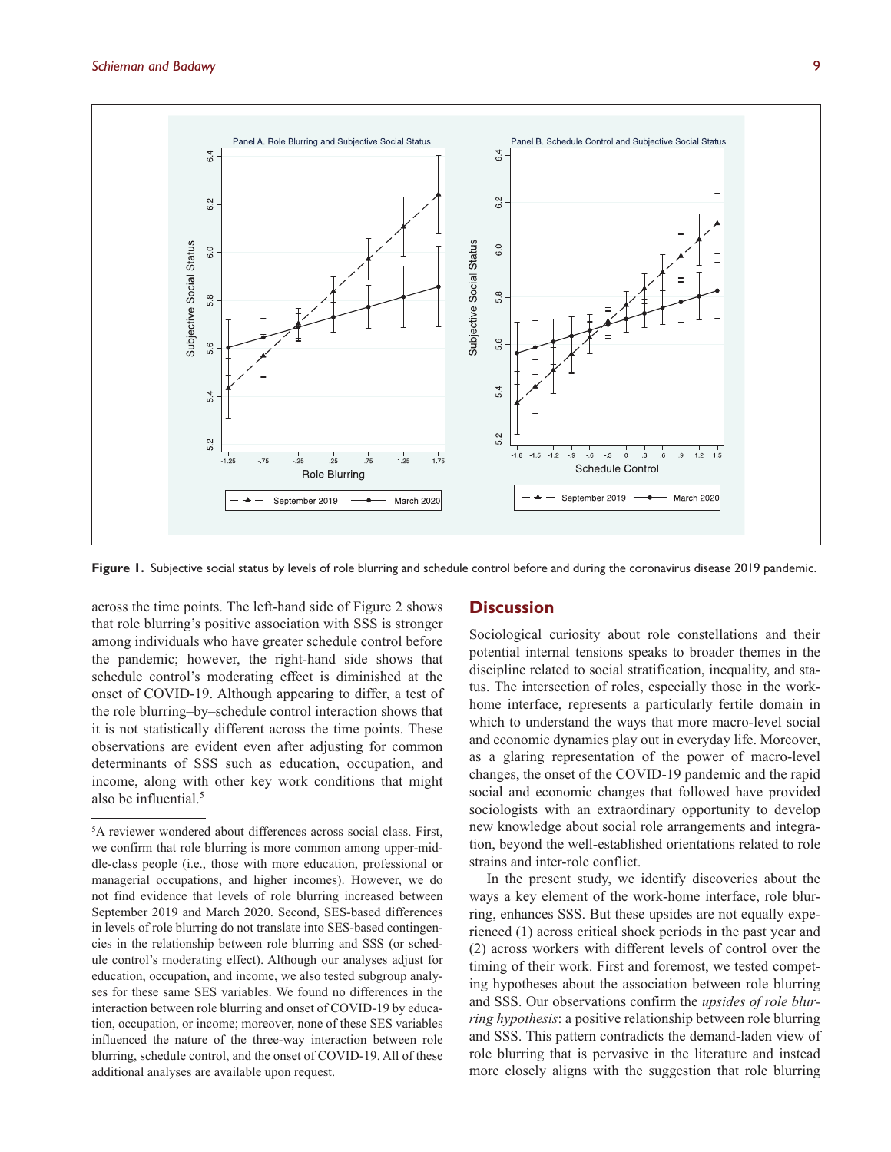

**Figure 1.** Subjective social status by levels of role blurring and schedule control before and during the coronavirus disease 2019 pandemic.

across the time points. The left-hand side of Figure 2 shows that role blurring's positive association with SSS is stronger among individuals who have greater schedule control before the pandemic; however, the right-hand side shows that schedule control's moderating effect is diminished at the onset of COVID-19. Although appearing to differ, a test of the role blurring–by–schedule control interaction shows that it is not statistically different across the time points. These observations are evident even after adjusting for common determinants of SSS such as education, occupation, and income, along with other key work conditions that might also be influential.<sup>5</sup>

## **Discussion**

Sociological curiosity about role constellations and their potential internal tensions speaks to broader themes in the discipline related to social stratification, inequality, and status. The intersection of roles, especially those in the workhome interface, represents a particularly fertile domain in which to understand the ways that more macro-level social and economic dynamics play out in everyday life. Moreover, as a glaring representation of the power of macro-level changes, the onset of the COVID-19 pandemic and the rapid social and economic changes that followed have provided sociologists with an extraordinary opportunity to develop new knowledge about social role arrangements and integration, beyond the well-established orientations related to role strains and inter-role conflict.

In the present study, we identify discoveries about the ways a key element of the work-home interface, role blurring, enhances SSS. But these upsides are not equally experienced (1) across critical shock periods in the past year and (2) across workers with different levels of control over the timing of their work. First and foremost, we tested competing hypotheses about the association between role blurring and SSS. Our observations confirm the *upsides of role blurring hypothesis*: a positive relationship between role blurring and SSS. This pattern contradicts the demand-laden view of role blurring that is pervasive in the literature and instead more closely aligns with the suggestion that role blurring

<sup>5</sup> A reviewer wondered about differences across social class. First, we confirm that role blurring is more common among upper-middle-class people (i.e., those with more education, professional or managerial occupations, and higher incomes). However, we do not find evidence that levels of role blurring increased between September 2019 and March 2020. Second, SES-based differences in levels of role blurring do not translate into SES-based contingencies in the relationship between role blurring and SSS (or schedule control's moderating effect). Although our analyses adjust for education, occupation, and income, we also tested subgroup analyses for these same SES variables. We found no differences in the interaction between role blurring and onset of COVID-19 by education, occupation, or income; moreover, none of these SES variables influenced the nature of the three-way interaction between role blurring, schedule control, and the onset of COVID-19. All of these additional analyses are available upon request.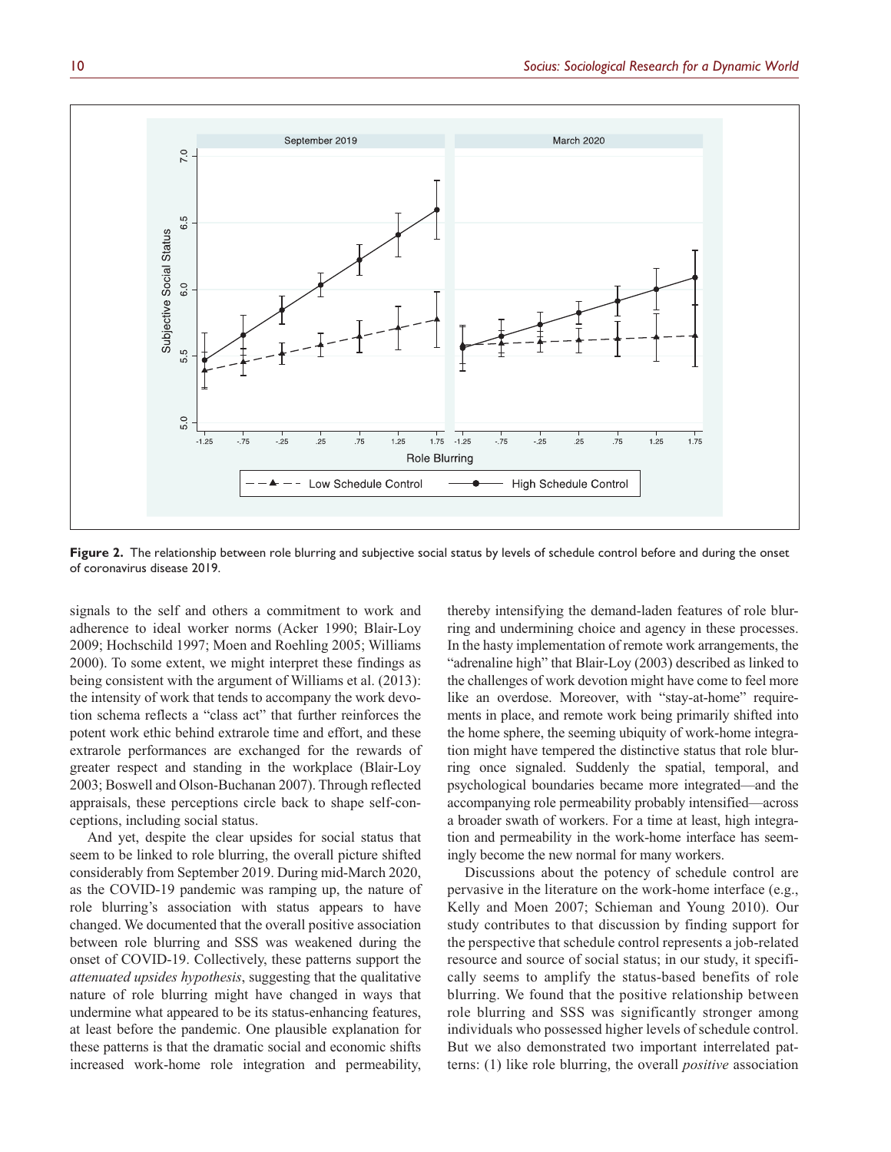

**Figure 2.** The relationship between role blurring and subjective social status by levels of schedule control before and during the onset of coronavirus disease 2019.

signals to the self and others a commitment to work and adherence to ideal worker norms (Acker 1990; Blair-Loy 2009; Hochschild 1997; Moen and Roehling 2005; Williams 2000). To some extent, we might interpret these findings as being consistent with the argument of Williams et al. (2013): the intensity of work that tends to accompany the work devotion schema reflects a "class act" that further reinforces the potent work ethic behind extrarole time and effort, and these extrarole performances are exchanged for the rewards of greater respect and standing in the workplace (Blair-Loy 2003; Boswell and Olson-Buchanan 2007). Through reflected appraisals, these perceptions circle back to shape self-conceptions, including social status.

And yet, despite the clear upsides for social status that seem to be linked to role blurring, the overall picture shifted considerably from September 2019. During mid-March 2020, as the COVID-19 pandemic was ramping up, the nature of role blurring's association with status appears to have changed. We documented that the overall positive association between role blurring and SSS was weakened during the onset of COVID-19. Collectively, these patterns support the *attenuated upsides hypothesis*, suggesting that the qualitative nature of role blurring might have changed in ways that undermine what appeared to be its status-enhancing features, at least before the pandemic. One plausible explanation for these patterns is that the dramatic social and economic shifts increased work-home role integration and permeability,

thereby intensifying the demand-laden features of role blurring and undermining choice and agency in these processes. In the hasty implementation of remote work arrangements, the "adrenaline high" that Blair-Loy (2003) described as linked to the challenges of work devotion might have come to feel more like an overdose. Moreover, with "stay-at-home" requirements in place, and remote work being primarily shifted into the home sphere, the seeming ubiquity of work-home integration might have tempered the distinctive status that role blurring once signaled. Suddenly the spatial, temporal, and psychological boundaries became more integrated—and the accompanying role permeability probably intensified—across a broader swath of workers. For a time at least, high integration and permeability in the work-home interface has seemingly become the new normal for many workers.

Discussions about the potency of schedule control are pervasive in the literature on the work-home interface (e.g., Kelly and Moen 2007; Schieman and Young 2010). Our study contributes to that discussion by finding support for the perspective that schedule control represents a job-related resource and source of social status; in our study, it specifically seems to amplify the status-based benefits of role blurring. We found that the positive relationship between role blurring and SSS was significantly stronger among individuals who possessed higher levels of schedule control. But we also demonstrated two important interrelated patterns: (1) like role blurring, the overall *positive* association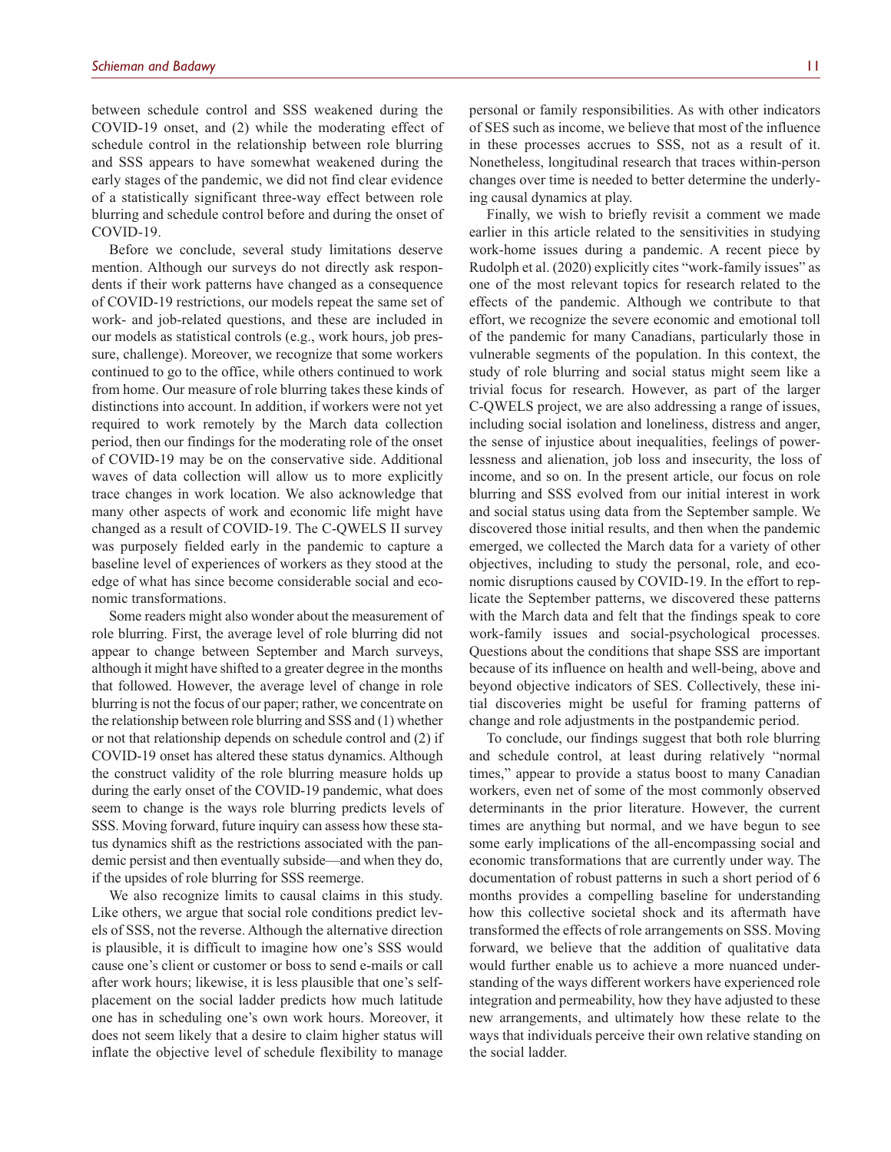between schedule control and SSS weakened during the COVID-19 onset, and (2) while the moderating effect of schedule control in the relationship between role blurring and SSS appears to have somewhat weakened during the early stages of the pandemic, we did not find clear evidence of a statistically significant three-way effect between role blurring and schedule control before and during the onset of COVID-19.

Before we conclude, several study limitations deserve mention. Although our surveys do not directly ask respondents if their work patterns have changed as a consequence of COVID-19 restrictions, our models repeat the same set of work- and job-related questions, and these are included in our models as statistical controls (e.g., work hours, job pressure, challenge). Moreover, we recognize that some workers continued to go to the office, while others continued to work from home. Our measure of role blurring takes these kinds of distinctions into account. In addition, if workers were not yet required to work remotely by the March data collection period, then our findings for the moderating role of the onset of COVID-19 may be on the conservative side. Additional waves of data collection will allow us to more explicitly trace changes in work location. We also acknowledge that many other aspects of work and economic life might have changed as a result of COVID-19. The C-QWELS II survey was purposely fielded early in the pandemic to capture a baseline level of experiences of workers as they stood at the edge of what has since become considerable social and economic transformations.

Some readers might also wonder about the measurement of role blurring. First, the average level of role blurring did not appear to change between September and March surveys, although it might have shifted to a greater degree in the months that followed. However, the average level of change in role blurring is not the focus of our paper; rather, we concentrate on the relationship between role blurring and SSS and (1) whether or not that relationship depends on schedule control and (2) if COVID-19 onset has altered these status dynamics. Although the construct validity of the role blurring measure holds up during the early onset of the COVID-19 pandemic, what does seem to change is the ways role blurring predicts levels of SSS. Moving forward, future inquiry can assess how these status dynamics shift as the restrictions associated with the pandemic persist and then eventually subside—and when they do, if the upsides of role blurring for SSS reemerge.

We also recognize limits to causal claims in this study. Like others, we argue that social role conditions predict levels of SSS, not the reverse. Although the alternative direction is plausible, it is difficult to imagine how one's SSS would cause one's client or customer or boss to send e-mails or call after work hours; likewise, it is less plausible that one's selfplacement on the social ladder predicts how much latitude one has in scheduling one's own work hours. Moreover, it does not seem likely that a desire to claim higher status will inflate the objective level of schedule flexibility to manage

personal or family responsibilities. As with other indicators of SES such as income, we believe that most of the influence in these processes accrues to SSS, not as a result of it. Nonetheless, longitudinal research that traces within-person changes over time is needed to better determine the underlying causal dynamics at play.

Finally, we wish to briefly revisit a comment we made earlier in this article related to the sensitivities in studying work-home issues during a pandemic. A recent piece by Rudolph et al. (2020) explicitly cites "work-family issues" as one of the most relevant topics for research related to the effects of the pandemic. Although we contribute to that effort, we recognize the severe economic and emotional toll of the pandemic for many Canadians, particularly those in vulnerable segments of the population. In this context, the study of role blurring and social status might seem like a trivial focus for research. However, as part of the larger C-QWELS project, we are also addressing a range of issues, including social isolation and loneliness, distress and anger, the sense of injustice about inequalities, feelings of powerlessness and alienation, job loss and insecurity, the loss of income, and so on. In the present article, our focus on role blurring and SSS evolved from our initial interest in work and social status using data from the September sample. We discovered those initial results, and then when the pandemic emerged, we collected the March data for a variety of other objectives, including to study the personal, role, and economic disruptions caused by COVID-19. In the effort to replicate the September patterns, we discovered these patterns with the March data and felt that the findings speak to core work-family issues and social-psychological processes. Questions about the conditions that shape SSS are important because of its influence on health and well-being, above and beyond objective indicators of SES. Collectively, these initial discoveries might be useful for framing patterns of change and role adjustments in the postpandemic period.

To conclude, our findings suggest that both role blurring and schedule control, at least during relatively "normal times," appear to provide a status boost to many Canadian workers, even net of some of the most commonly observed determinants in the prior literature. However, the current times are anything but normal, and we have begun to see some early implications of the all-encompassing social and economic transformations that are currently under way. The documentation of robust patterns in such a short period of 6 months provides a compelling baseline for understanding how this collective societal shock and its aftermath have transformed the effects of role arrangements on SSS. Moving forward, we believe that the addition of qualitative data would further enable us to achieve a more nuanced understanding of the ways different workers have experienced role integration and permeability, how they have adjusted to these new arrangements, and ultimately how these relate to the ways that individuals perceive their own relative standing on the social ladder.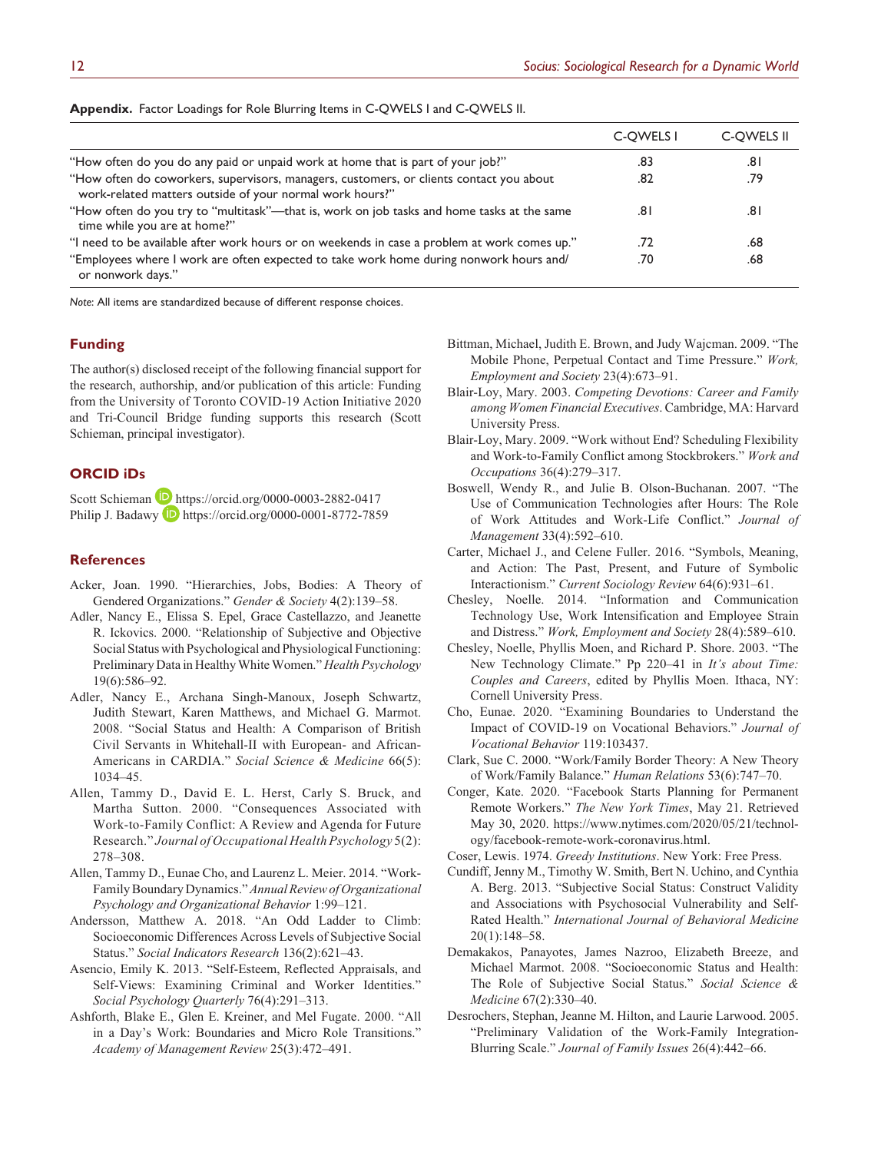|                                                                                                                                                     | C-OWELS I | C-OWELS II |
|-----------------------------------------------------------------------------------------------------------------------------------------------------|-----------|------------|
| "How often do you do any paid or unpaid work at home that is part of your job?"                                                                     | .83       | ا8.        |
| "How often do coworkers, supervisors, managers, customers, or clients contact you about<br>work-related matters outside of your normal work hours?" | .82       | .79        |
| "How often do you try to "multitask"—that is, work on job tasks and home tasks at the same<br>time while you are at home?"                          | ا 8.      | ا8.        |
| "I need to be available after work hours or on weekends in case a problem at work comes up."                                                        | .72       | .68        |
| "Employees where I work are often expected to take work home during nonwork hours and/<br>or nonwork days."                                         | .70       | .68        |

Appendix. Factor Loadings for Role Blurring Items in C-QWELS I and C-QWELS II.

*Note*: All items are standardized because of different response choices.

#### **Funding**

The author(s) disclosed receipt of the following financial support for the research, authorship, and/or publication of this article: Funding from the University of Toronto COVID-19 Action Initiative 2020 and Tri-Council Bridge funding supports this research (Scott Schieman, principal investigator).

#### **ORCID iDs**

Scott Schieman **<https://orcid.org/0000-0003-2882-0417>** Philip J. Badawy **D** <https://orcid.org/0000-0001-8772-7859>

#### **References**

- Acker, Joan. 1990. "Hierarchies, Jobs, Bodies: A Theory of Gendered Organizations." *Gender & Society* 4(2):139–58.
- Adler, Nancy E., Elissa S. Epel, Grace Castellazzo, and Jeanette R. Ickovics. 2000. "Relationship of Subjective and Objective Social Status with Psychological and Physiological Functioning: Preliminary Data in Healthy White Women." *Health Psychology* 19(6):586–92.
- Adler, Nancy E., Archana Singh-Manoux, Joseph Schwartz, Judith Stewart, Karen Matthews, and Michael G. Marmot. 2008. "Social Status and Health: A Comparison of British Civil Servants in Whitehall-II with European- and African-Americans in CARDIA." *Social Science & Medicine* 66(5): 1034–45.
- Allen, Tammy D., David E. L. Herst, Carly S. Bruck, and Martha Sutton. 2000. "Consequences Associated with Work-to-Family Conflict: A Review and Agenda for Future Research." *Journal of Occupational Health Psychology* 5(2): 278–308.
- Allen, Tammy D., Eunae Cho, and Laurenz L. Meier. 2014. "Work-Family Boundary Dynamics." *Annual Review of Organizational Psychology and Organizational Behavior* 1:99–121.
- Andersson, Matthew A. 2018. "An Odd Ladder to Climb: Socioeconomic Differences Across Levels of Subjective Social Status." *Social Indicators Research* 136(2):621–43.
- Asencio, Emily K. 2013. "Self-Esteem, Reflected Appraisals, and Self-Views: Examining Criminal and Worker Identities." *Social Psychology Quarterly* 76(4):291–313.
- Ashforth, Blake E., Glen E. Kreiner, and Mel Fugate. 2000. "All in a Day's Work: Boundaries and Micro Role Transitions." *Academy of Management Review* 25(3):472–491.
- Bittman, Michael, Judith E. Brown, and Judy Wajcman. 2009. "The Mobile Phone, Perpetual Contact and Time Pressure." *Work, Employment and Society* 23(4):673–91.
- Blair-Loy, Mary. 2003. *Competing Devotions: Career and Family among Women Financial Executives*. Cambridge, MA: Harvard University Press.
- Blair-Loy, Mary. 2009. "Work without End? Scheduling Flexibility and Work-to-Family Conflict among Stockbrokers." *Work and Occupations* 36(4):279–317.
- Boswell, Wendy R., and Julie B. Olson-Buchanan. 2007. "The Use of Communication Technologies after Hours: The Role of Work Attitudes and Work-Life Conflict." *Journal of Management* 33(4):592–610.
- Carter, Michael J., and Celene Fuller. 2016. "Symbols, Meaning, and Action: The Past, Present, and Future of Symbolic Interactionism." *Current Sociology Review* 64(6):931–61.
- Chesley, Noelle. 2014. "Information and Communication Technology Use, Work Intensification and Employee Strain and Distress." *Work, Employment and Society* 28(4):589–610.
- Chesley, Noelle, Phyllis Moen, and Richard P. Shore. 2003. "The New Technology Climate." Pp 220–41 in *It's about Time: Couples and Careers*, edited by Phyllis Moen. Ithaca, NY: Cornell University Press.
- Cho, Eunae. 2020. "Examining Boundaries to Understand the Impact of COVID-19 on Vocational Behaviors." *Journal of Vocational Behavior* 119:103437.
- Clark, Sue C. 2000. "Work/Family Border Theory: A New Theory of Work/Family Balance." *Human Relations* 53(6):747–70.
- Conger, Kate. 2020. "Facebook Starts Planning for Permanent Remote Workers." *The New York Times*, May 21. Retrieved May 30, 2020. [https://www.nytimes.com/2020/05/21/technol](https://www.nytimes.com/2020/05/21/technology/facebook-remote-work-coronavirus.html)[ogy/facebook-remote-work-coronavirus.html](https://www.nytimes.com/2020/05/21/technology/facebook-remote-work-coronavirus.html).
- Coser, Lewis. 1974. *Greedy Institutions*. New York: Free Press.
- Cundiff, Jenny M., Timothy W. Smith, Bert N. Uchino, and Cynthia A. Berg. 2013. "Subjective Social Status: Construct Validity and Associations with Psychosocial Vulnerability and Self-Rated Health." *International Journal of Behavioral Medicine* 20(1):148–58.
- Demakakos, Panayotes, James Nazroo, Elizabeth Breeze, and Michael Marmot. 2008. "Socioeconomic Status and Health: The Role of Subjective Social Status." *Social Science & Medicine* 67(2):330–40.
- Desrochers, Stephan, Jeanne M. Hilton, and Laurie Larwood. 2005. "Preliminary Validation of the Work-Family Integration-Blurring Scale." *Journal of Family Issues* 26(4):442–66.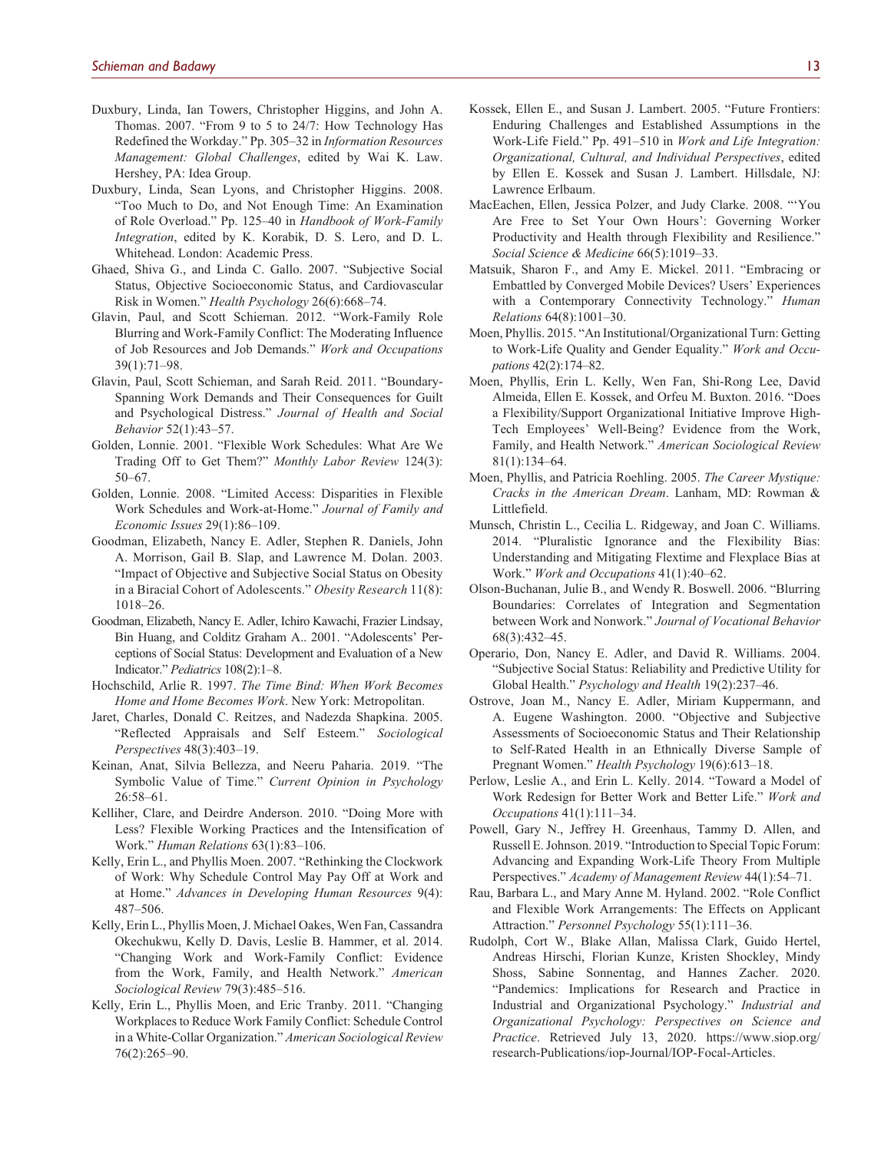- Duxbury, Linda, Ian Towers, Christopher Higgins, and John A. Thomas. 2007. "From 9 to 5 to 24/7: How Technology Has Redefined the Workday." Pp. 305–32 in *Information Resources Management: Global Challenges*, edited by Wai K. Law. Hershey, PA: Idea Group.
- Duxbury, Linda, Sean Lyons, and Christopher Higgins. 2008. "Too Much to Do, and Not Enough Time: An Examination of Role Overload." Pp. 125–40 in *Handbook of Work-Family Integration*, edited by K. Korabik, D. S. Lero, and D. L. Whitehead. London: Academic Press.
- Ghaed, Shiva G., and Linda C. Gallo. 2007. "Subjective Social Status, Objective Socioeconomic Status, and Cardiovascular Risk in Women." *Health Psychology* 26(6):668–74.
- Glavin, Paul, and Scott Schieman. 2012. "Work-Family Role Blurring and Work-Family Conflict: The Moderating Influence of Job Resources and Job Demands." *Work and Occupations* 39(1):71–98.
- Glavin, Paul, Scott Schieman, and Sarah Reid. 2011. "Boundary-Spanning Work Demands and Their Consequences for Guilt and Psychological Distress." *Journal of Health and Social Behavior* 52(1):43–57.
- Golden, Lonnie. 2001. "Flexible Work Schedules: What Are We Trading Off to Get Them?" *Monthly Labor Review* 124(3): 50–67.
- Golden, Lonnie. 2008. "Limited Access: Disparities in Flexible Work Schedules and Work-at-Home." *Journal of Family and Economic Issues* 29(1):86–109.
- Goodman, Elizabeth, Nancy E. Adler, Stephen R. Daniels, John A. Morrison, Gail B. Slap, and Lawrence M. Dolan. 2003. "Impact of Objective and Subjective Social Status on Obesity in a Biracial Cohort of Adolescents." *Obesity Research* 11(8): 1018–26.
- Goodman, Elizabeth, Nancy E. Adler, Ichiro Kawachi, Frazier Lindsay, Bin Huang, and Colditz Graham A.. 2001. "Adolescents' Perceptions of Social Status: Development and Evaluation of a New Indicator." *Pediatrics* 108(2):1–8.
- Hochschild, Arlie R. 1997. *The Time Bind: When Work Becomes Home and Home Becomes Work*. New York: Metropolitan.
- Jaret, Charles, Donald C. Reitzes, and Nadezda Shapkina. 2005. "Reflected Appraisals and Self Esteem." *Sociological Perspectives* 48(3):403–19.
- Keinan, Anat, Silvia Bellezza, and Neeru Paharia. 2019. "The Symbolic Value of Time." *Current Opinion in Psychology* 26:58–61.
- Kelliher, Clare, and Deirdre Anderson. 2010. "Doing More with Less? Flexible Working Practices and the Intensification of Work." *Human Relations* 63(1):83–106.
- Kelly, Erin L., and Phyllis Moen. 2007. "Rethinking the Clockwork of Work: Why Schedule Control May Pay Off at Work and at Home." *Advances in Developing Human Resources* 9(4): 487–506.
- Kelly, Erin L., Phyllis Moen, J. Michael Oakes, Wen Fan, Cassandra Okechukwu, Kelly D. Davis, Leslie B. Hammer, et al. 2014. "Changing Work and Work-Family Conflict: Evidence from the Work, Family, and Health Network." *American Sociological Review* 79(3):485–516.
- Kelly, Erin L., Phyllis Moen, and Eric Tranby. 2011. "Changing Workplaces to Reduce Work Family Conflict: Schedule Control in a White-Collar Organization." *American Sociological Review* 76(2):265–90.
- Kossek, Ellen E., and Susan J. Lambert. 2005. "Future Frontiers: Enduring Challenges and Established Assumptions in the Work-Life Field." Pp. 491–510 in *Work and Life Integration: Organizational, Cultural, and Individual Perspectives*, edited by Ellen E. Kossek and Susan J. Lambert. Hillsdale, NJ: Lawrence Erlbaum.
- MacEachen, Ellen, Jessica Polzer, and Judy Clarke. 2008. "'You Are Free to Set Your Own Hours': Governing Worker Productivity and Health through Flexibility and Resilience." *Social Science & Medicine* 66(5):1019–33.
- Matsuik, Sharon F., and Amy E. Mickel. 2011. "Embracing or Embattled by Converged Mobile Devices? Users' Experiences with a Contemporary Connectivity Technology." *Human Relations* 64(8):1001–30.
- Moen, Phyllis. 2015. "An Institutional/Organizational Turn: Getting to Work-Life Quality and Gender Equality." *Work and Occupations* 42(2):174–82.
- Moen, Phyllis, Erin L. Kelly, Wen Fan, Shi-Rong Lee, David Almeida, Ellen E. Kossek, and Orfeu M. Buxton. 2016. "Does a Flexibility/Support Organizational Initiative Improve High-Tech Employees' Well-Being? Evidence from the Work, Family, and Health Network." *American Sociological Review* 81(1):134–64.
- Moen, Phyllis, and Patricia Roehling. 2005. *The Career Mystique: Cracks in the American Dream*. Lanham, MD: Rowman & Littlefield.
- Munsch, Christin L., Cecilia L. Ridgeway, and Joan C. Williams. 2014. "Pluralistic Ignorance and the Flexibility Bias: Understanding and Mitigating Flextime and Flexplace Bias at Work." *Work and Occupations* 41(1):40–62.
- Olson-Buchanan, Julie B., and Wendy R. Boswell. 2006. "Blurring Boundaries: Correlates of Integration and Segmentation between Work and Nonwork." *Journal of Vocational Behavior* 68(3):432–45.
- Operario, Don, Nancy E. Adler, and David R. Williams. 2004. "Subjective Social Status: Reliability and Predictive Utility for Global Health." *Psychology and Health* 19(2):237–46.
- Ostrove, Joan M., Nancy E. Adler, Miriam Kuppermann, and A. Eugene Washington. 2000. "Objective and Subjective Assessments of Socioeconomic Status and Their Relationship to Self-Rated Health in an Ethnically Diverse Sample of Pregnant Women." *Health Psychology* 19(6):613–18.
- Perlow, Leslie A., and Erin L. Kelly. 2014. "Toward a Model of Work Redesign for Better Work and Better Life." *Work and Occupations* 41(1):111–34.
- Powell, Gary N., Jeffrey H. Greenhaus, Tammy D. Allen, and Russell E. Johnson. 2019. "Introduction to Special Topic Forum: Advancing and Expanding Work-Life Theory From Multiple Perspectives." *Academy of Management Review* 44(1):54–71.
- Rau, Barbara L., and Mary Anne M. Hyland. 2002. "Role Conflict and Flexible Work Arrangements: The Effects on Applicant Attraction." *Personnel Psychology* 55(1):111–36.
- Rudolph, Cort W., Blake Allan, Malissa Clark, Guido Hertel, Andreas Hirschi, Florian Kunze, Kristen Shockley, Mindy Shoss, Sabine Sonnentag, and Hannes Zacher. 2020. "Pandemics: Implications for Research and Practice in Industrial and Organizational Psychology." *Industrial and Organizational Psychology: Perspectives on Science and Practice*. Retrieved July 13, 2020. [https://www.siop.org/](https://www.siop.org/research-Publications/iop-Journal/IOP-Focal-Articles) [research-Publications/iop-Journal/IOP-Focal-Articles.](https://www.siop.org/research-Publications/iop-Journal/IOP-Focal-Articles)